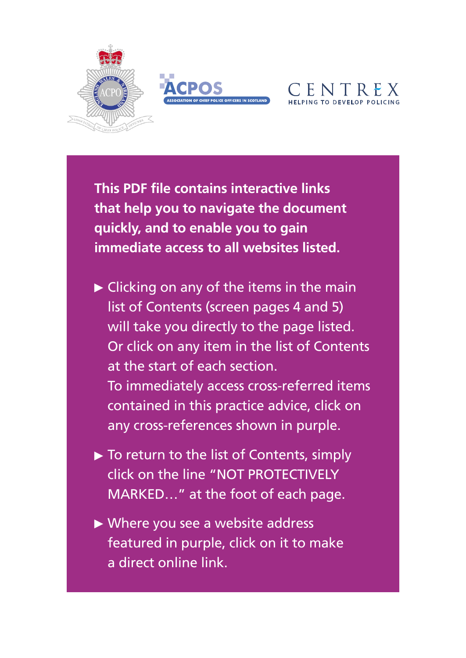





**This PDF file contains interactive links that help you to navigate the document quickly, and to enable you to gain immediate access to all websites listed.**

- $\triangleright$  Clicking on any of the items in the main list of Contents [\(screen pages 4 and 5\)](#page-3-0) will take you directly to the page listed. Or click on any item in the list of Contents at the start of each section. To immediately access cross-referred items contained in this practice advice, click on any cross-references shown in purple.
- $\triangleright$  To return to the list of Contents, simply click on the line "NOT PROTECTIVELY MARKED…" at the foot of each page.
- ▶ Where you see a website address featured in purple, click on it to make a direct online link.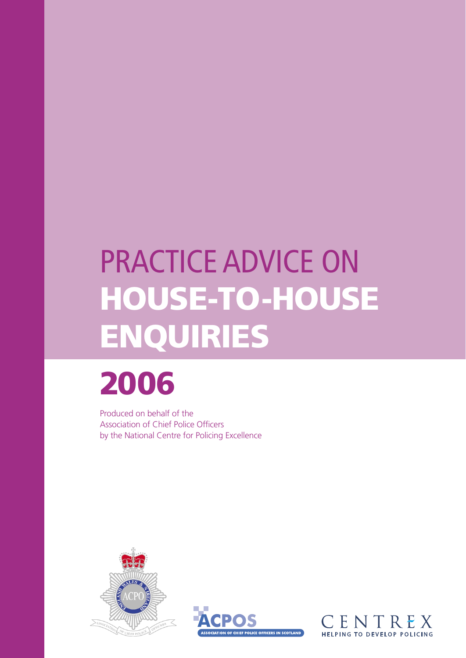# PRACTICE ADVICE ON **HOUSE-TO-HOUSE ENQUIRIES**



Produced on behalf of the Association of Chief Police Officers by the National Centre for Policing Excellence





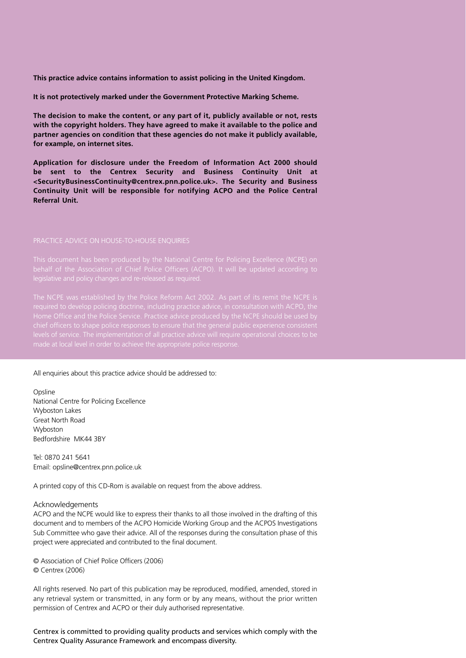**This practice advice contains information to assist policing in the United Kingdom.**

**It is not protectively marked under the Government Protective Marking Scheme.**

**The decision to make the content, or any part of it, publicly available or not, rests with the copyright holders. They have agreed to make it available to the police and partner agencies on condition that these agencies do not make it publicly available, for example, on internet sites.**

**Application for disclosure under the Freedom of Information Act 2000 should be sent to the Centrex Security and Business Continuity Unit at <SecurityBusinessContinuity@centrex.pnn.police.uk>. The Security and Business Continuity Unit will be responsible for notifying ACPO and the Police Central Referral Unit.**

required to develop policing doctrine, including practice advice, in consultation with ACPO, the Home Office and the Police Service. Practice advice produced by the NCPE should be used by made at local level in order to achieve the appropriate police response.

#### All enquiries about this practice advice should be addressed to:

Opsline National Centre for Policing Excellence Wyboston Lakes Great North Road Wyboston Bedfordshire MK44 3BY

Tel: 0870 241 5641 Email: opsline@centrex.pnn.police.uk

A printed copy of this CD-Rom is available on request from the above address.

#### Acknowledgements

ACPO and the NCPE would like to express their thanks to all those involved in the drafting of this document and to members of the ACPO Homicide Working Group and the ACPOS Investigations Sub Committee who gave their advice. All of the responses during the consultation phase of this project were appreciated and contributed to the final document.

© Association of Chief Police Officers (2006) © Centrex (2006)

All rights reserved. No part of this publication may be reproduced, modified, amended, stored in any retrieval system or transmitted, in any form or by any means, without the prior written permission of Centrex and ACPO or their duly authorised representative.

Centrex is committed to providing quality products and services which comply with the Centrex Quality Assurance Framework and encompass diversity.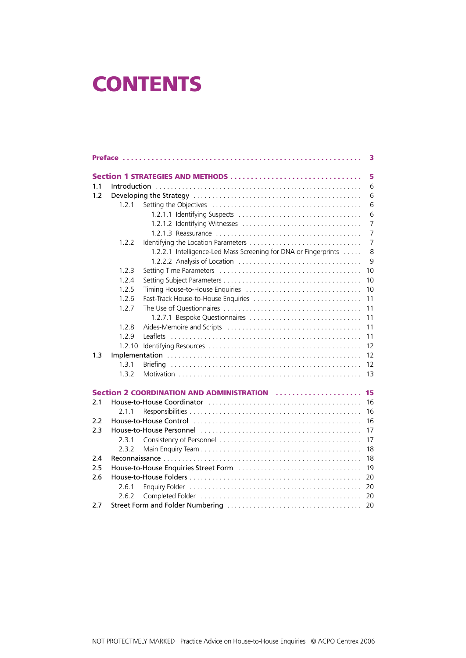# <span id="page-3-1"></span><span id="page-3-0"></span>**CONTENTS**

|     |        | з                                                                                                                    |
|-----|--------|----------------------------------------------------------------------------------------------------------------------|
|     |        | 5                                                                                                                    |
| 1.1 |        | 6                                                                                                                    |
| 1.2 |        | Developing the Strategy (Mathematic Advance Advance Advance Advance Advance Advance Advance Advance Advance Adv<br>6 |
|     | 1.2.1  | 6                                                                                                                    |
|     |        | 6                                                                                                                    |
|     |        | $\overline{7}$                                                                                                       |
|     |        | $\overline{7}$                                                                                                       |
|     | 1.2.2  | $\overline{7}$                                                                                                       |
|     |        | 1.2.2.1 Intelligence-Led Mass Screening for DNA or Fingerprints<br>8                                                 |
|     |        | $\mathsf{q}$                                                                                                         |
|     | 1.2.3  | 10                                                                                                                   |
|     | 1.2.4  | 10                                                                                                                   |
|     | 1.2.5  | 10                                                                                                                   |
|     | 1.2.6  | Fast-Track House-to-House Enquiries<br>11                                                                            |
|     | 1.2.7  | 11                                                                                                                   |
|     |        | 11                                                                                                                   |
|     | 1.2.8  | 11                                                                                                                   |
|     | 1.2.9  | Leaflets<br>11                                                                                                       |
|     | 1.2.10 | 12                                                                                                                   |
| 1.3 |        | 12                                                                                                                   |
|     | 1.3.1  | 12                                                                                                                   |
|     | 1.3.2  | 13                                                                                                                   |
|     |        |                                                                                                                      |
|     |        | <b>Section 2 COORDINATION AND ADMINISTRATION ACCOUNTLANCE COORDINATION</b><br>15                                     |
| 2.1 |        | 16                                                                                                                   |
|     | 2.1.1  | 16                                                                                                                   |
| 2.2 |        | 16                                                                                                                   |
| 2.3 |        | 17                                                                                                                   |
|     | 2.3.1  | 17                                                                                                                   |
|     | 2.3.2  | 18                                                                                                                   |
| 2.4 |        | 18                                                                                                                   |
| 2.5 |        | 19                                                                                                                   |
| 2.6 |        | 20                                                                                                                   |
|     | 2.6.1  | 20                                                                                                                   |
|     | 2.6.2  |                                                                                                                      |
| 2.7 |        |                                                                                                                      |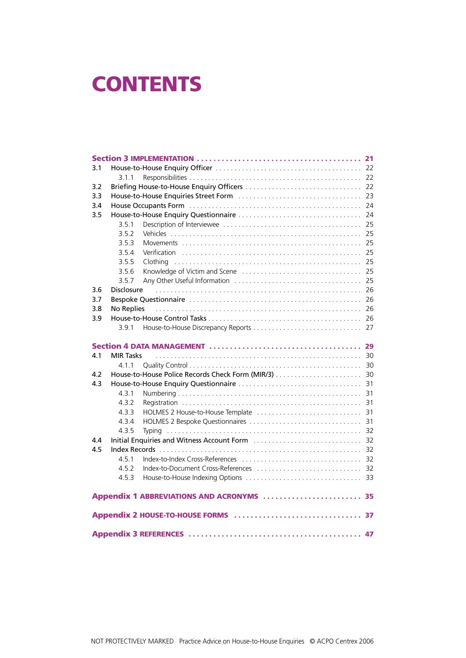# <span id="page-4-0"></span>**CONTENTS**

| 3.1 |                   |                                                                                                                 |    |
|-----|-------------------|-----------------------------------------------------------------------------------------------------------------|----|
|     | 3.1.1             |                                                                                                                 |    |
| 3.2 |                   | 22                                                                                                              |    |
| 3.3 |                   |                                                                                                                 |    |
| 3.4 |                   |                                                                                                                 | 24 |
| 3.5 |                   | 24                                                                                                              |    |
|     | 3.5.1             |                                                                                                                 |    |
|     | 3.5.2             |                                                                                                                 |    |
|     | 3.5.3             |                                                                                                                 |    |
|     | 3.5.4             |                                                                                                                 |    |
|     | 3.5.5             | Clothing                                                                                                        |    |
|     | 3.5.6             |                                                                                                                 |    |
|     | 3.5.7             |                                                                                                                 |    |
| 3.6 | <b>Disclosure</b> |                                                                                                                 |    |
| 3.7 |                   |                                                                                                                 |    |
| 3.8 | No Replies        |                                                                                                                 |    |
| 3.9 |                   |                                                                                                                 |    |
|     | 3.9.1             |                                                                                                                 |    |
|     |                   |                                                                                                                 |    |
| 4.1 | <b>MIR Tasks</b>  |                                                                                                                 |    |
|     | 4.1.1             |                                                                                                                 |    |
| 4.2 |                   |                                                                                                                 |    |
| 4.3 |                   |                                                                                                                 |    |
|     | 4.3.1             |                                                                                                                 |    |
|     | 4.3.2             |                                                                                                                 |    |
|     | 4.3.3             |                                                                                                                 |    |
|     | 4.3.4             |                                                                                                                 |    |
|     | 4.3.5             |                                                                                                                 |    |
| 4.4 |                   | Initial Enquiries and Witness Account Form [1] [1] The Context Press Press Account Form [1] [1] Discovers Press |    |
| 4.5 |                   |                                                                                                                 |    |
|     | 4.5.1             |                                                                                                                 |    |
|     | 4.5.2             |                                                                                                                 |    |
|     | 4.5.3             |                                                                                                                 |    |
|     |                   | Appendix 1 ABBREVIATIONS AND ACRONYMS  35                                                                       |    |
|     |                   |                                                                                                                 |    |
|     |                   |                                                                                                                 |    |
|     |                   |                                                                                                                 |    |
|     |                   |                                                                                                                 |    |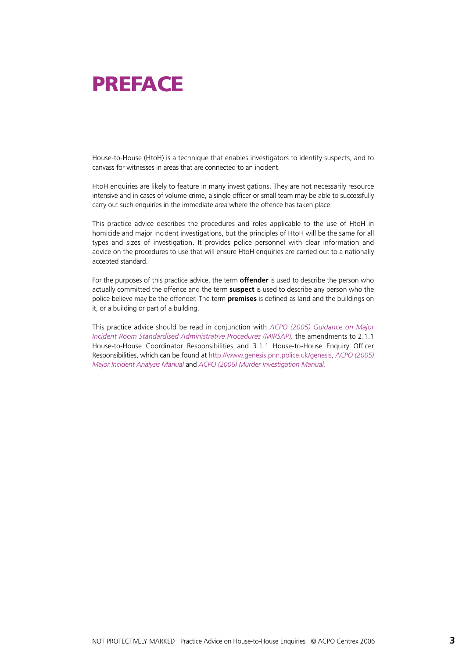<span id="page-5-0"></span>

House-to-House (HtoH) is a technique that enables investigators to identify suspects, and to canvass for witnesses in areas that are connected to an incident.

HtoH enquiries are likely to feature in many investigations. They are not necessarily resource intensive and in cases of volume crime, a single officer or small team may be able to successfully carry out such enquiries in the immediate area where the offence has taken place.

This practice advice describes the procedures and roles applicable to the use of HtoH in homicide and major incident investigations, but the principles of HtoH will be the same for all types and sizes of investigation. It provides police personnel with clear information and advice on the procedures to use that will ensure HtoH enquiries are carried out to a nationally accepted standard.

For the purposes of this practice advice, the term **offender** is used to describe the person who actually committed the offence and the term **suspect** is used to describe any person who the police believe may be the offender. The term **premises** is defined as land and the buildings on it, or a building or part of a building.

This practice advice should be read in conjunction with *ACPO (2005) Guidance on Major Incident Room Standardised Administrative Procedures (MIRSAP),* the amendments to 2.1.1 House-to-House Coordinator Responsibilities and 3.1.1 House-to-House Enquiry Officer Responsibilities, which can be found at [http://www.genesis.pnn.police.uk/genesis,](http://www.genesis.pnn.police.uk/genesis) *ACPO (2005) Major Incident Analysis Manual* and *ACPO (2006) Murder Investigation Manual.*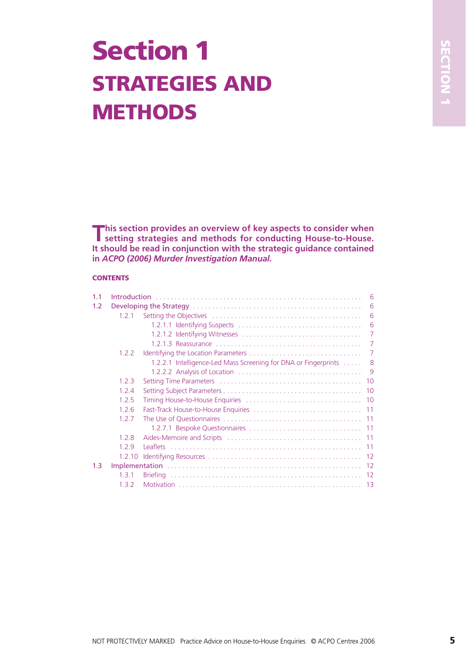# <span id="page-7-0"></span>**Section 1 STRATEGIES AND METHODS**

This section provides an overview of key aspects to consider when<br>setting strategies and methods for conducting House-to-House. **It should be read in conjunction with the strategic guidance contained in** *ACPO (2006) Murder Investigation Manual.* 

#### **CONTENTS**

| 11  | <b>Introduction</b> |                                                                                                                 | 6              |
|-----|---------------------|-----------------------------------------------------------------------------------------------------------------|----------------|
| 1.2 |                     | Developing the Strategy (and account account of the Strategy Account of the Strategy Account of the Development | 6              |
|     | 1 2 1               |                                                                                                                 | 6              |
|     |                     |                                                                                                                 | 6              |
|     |                     |                                                                                                                 | $\overline{7}$ |
|     |                     |                                                                                                                 | 7              |
|     | 1.2.2               |                                                                                                                 | 7              |
|     |                     | 1.2.2.1 Intelligence-Led Mass Screening for DNA or Fingerprints                                                 | 8              |
|     |                     |                                                                                                                 | 9              |
|     | 1.2.3               | Setting Time Parameters (Alternative Alternative Alternative Alternative Alternative Alternative Alternative A  | 10             |
|     | 1.2.4               |                                                                                                                 | 10             |
|     | 1.2.5               |                                                                                                                 | -10            |
|     | 1.2.6               |                                                                                                                 |                |
|     | 1 2 7               |                                                                                                                 |                |
|     |                     |                                                                                                                 |                |
|     | 1.2.8               |                                                                                                                 |                |
|     | 129                 | <b>Leaflets</b>                                                                                                 |                |
|     | 1.2.10              |                                                                                                                 |                |
| 1.3 |                     |                                                                                                                 | 12             |
|     | 131                 |                                                                                                                 | 12             |
|     | 132                 |                                                                                                                 | 13             |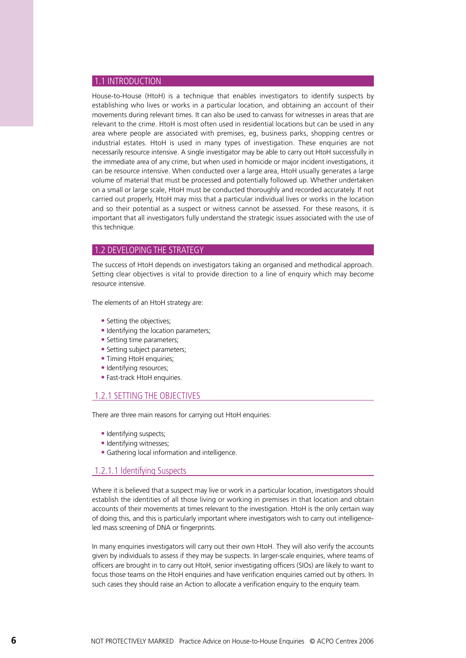#### <span id="page-8-1"></span><span id="page-8-0"></span>1.1 INTRODUCTION

House-to-House (HtoH) is a technique that enables investigators to identify suspects by establishing who lives or works in a particular location, and obtaining an account of their movements during relevant times. It can also be used to canvass for witnesses in areas that are relevant to the crime. HtoH is most often used in residential locations but can be used in any area where people are associated with premises, eg, business parks, shopping centres or industrial estates. HtoH is used in many types of investigation. These enquiries are not necessarily resource intensive. A single investigator may be able to carry out HtoH successfully in the immediate area of any crime, but when used in homicide or major incident investigations, it can be resource intensive. When conducted over a large area, HtoH usually generates a large volume of material that must be processed and potentially followed up. Whether undertaken on a small or large scale, HtoH must be conducted thoroughly and recorded accurately. If not carried out properly, HtoH may miss that a particular individual lives or works in the location and so their potential as a suspect or witness cannot be assessed. For these reasons, it is important that all investigators fully understand the strategic issues associated with the use of this technique.

#### 1.2 DEVELOPING THE STRATEGY

The success of HtoH depends on investigators taking an organised and methodical approach. Setting clear objectives is vital to provide direction to a line of enquiry which may become resource intensive.

The elements of an HtoH strategy are:

- Setting the objectives;
- Identifying the location parameters;
- Setting time parameters;
- Setting subject parameters;
- Timing HtoH enquiries;
- Identifying resources;
- Fast-track HtoH enquiries.

#### 1.2.1 SETTING THE OBJECTIVES

There are three main reasons for carrying out HtoH enquiries:

- Identifying suspects;
- Identifying witnesses;
- Gathering local information and intelligence.

#### 1.2.1.1 Identifying Suspects

Where it is believed that a suspect may live or work in a particular location, investigators should establish the identities of all those living or working in premises in that location and obtain accounts of their movements at times relevant to the investigation. HtoH is the only certain way of doing this, and this is particularly important where investigators wish to carry out intelligenceled mass screening of DNA or fingerprints.

In many enquiries investigators will carry out their own HtoH. They will also verify the accounts given by individuals to assess if they may be suspects. In larger-scale enquiries, where teams of officers are brought in to carry out HtoH, senior investigating officers (SIOs) are likely to want to focus those teams on the HtoH enquiries and have verification enquiries carried out by others. In such cases they should raise an Action to allocate a verification enquiry to the enquiry team.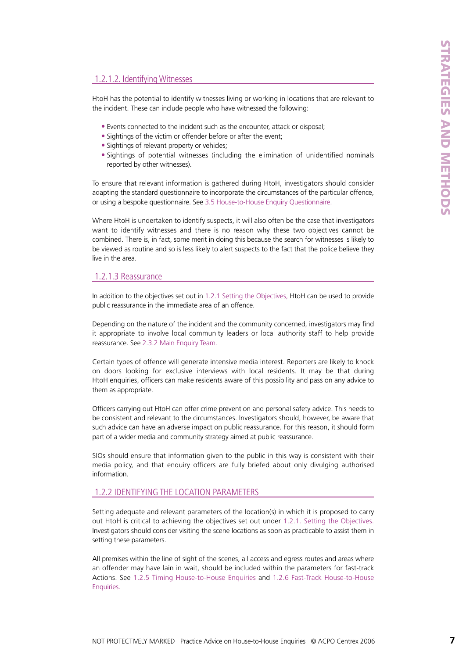#### <span id="page-9-0"></span>1.2.1.2. Identifying Witnesses

HtoH has the potential to identify witnesses living or working in locations that are relevant to the incident. These can include people who have witnessed the following:

- Events connected to the incident such as the encounter, attack or disposal;
- Sightings of the victim or offender before or after the event;
- Sightings of relevant property or vehicles;
- Sightings of potential witnesses (including the elimination of unidentified nominals reported by other witnesses).

To ensure that relevant information is gathered during HtoH, investigators should consider adapting the standard questionnaire to incorporate the circumstances of the particular offence, or using a bespoke questionnaire. See [3.5 House-to-House Enquiry Questionnaire.](#page-26-1)

Where HtoH is undertaken to identify suspects, it will also often be the case that investigators want to identify witnesses and there is no reason why these two objectives cannot be combined. There is, in fact, some merit in doing this because the search for witnesses is likely to be viewed as routine and so is less likely to alert suspects to the fact that the police believe they live in the area.

#### 1.2.1.3 Reassurance

In addition to the objectives set out in [1.2.1 Setting the Objectives,](#page-8-1) HtoH can be used to provide public reassurance in the immediate area of an offence.

Depending on the nature of the incident and the community concerned, investigators may find it appropriate to involve local community leaders or local authority staff to help provide reassurance. See [2.3.2 Main Enquiry Team.](#page-20-1)

Certain types of offence will generate intensive media interest. Reporters are likely to knock on doors looking for exclusive interviews with local residents. It may be that during HtoH enquiries, officers can make residents aware of this possibility and pass on any advice to them as appropriate.

Officers carrying out HtoH can offer crime prevention and personal safety advice. This needs to be consistent and relevant to the circumstances. Investigators should, however, be aware that such advice can have an adverse impact on public reassurance. For this reason, it should form part of a wider media and community strategy aimed at public reassurance.

SIOs should ensure that information given to the public in this way is consistent with their media policy, and that enquiry officers are fully briefed about only divulging authorised information.

#### 1.2.2 IDENTIFYING THE LOCATION PARAMETERS

Setting adequate and relevant parameters of the location(s) in which it is proposed to carry out HtoH is critical to achieving the objectives set out under [1.2.1. Setting the Objectives.](#page-8-1) Investigators should consider visiting the scene locations as soon as practicable to assist them in setting these parameters.

All premises within the line of sight of the scenes, all access and egress routes and areas where an offender may have lain in wait, should be included within the parameters for fast-track Actions. See [1.2.5 Timing House-to-House Enquiries](#page-12-1) and [1.2.6 Fast-Track House-to-House](#page-13-1) [Enquiries.](#page-13-1)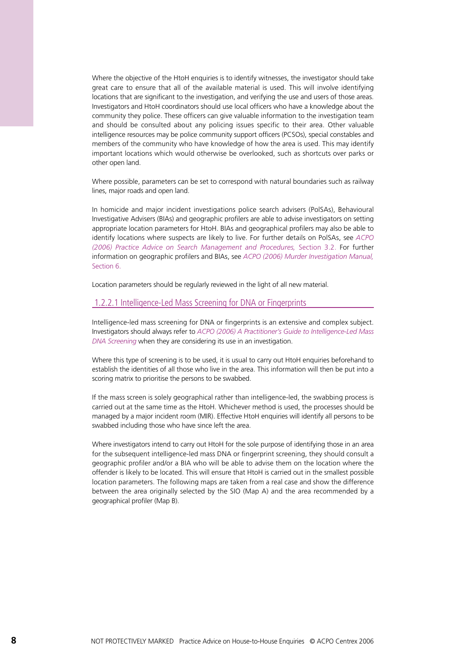<span id="page-10-0"></span>Where the objective of the HtoH enquiries is to identify witnesses, the investigator should take great care to ensure that all of the available material is used. This will involve identifying locations that are significant to the investigation, and verifying the use and users of those areas. Investigators and HtoH coordinators should use local officers who have a knowledge about the community they police. These officers can give valuable information to the investigation team and should be consulted about any policing issues specific to their area. Other valuable intelligence resources may be police community support officers (PCSOs), special constables and members of the community who have knowledge of how the area is used. This may identify important locations which would otherwise be overlooked, such as shortcuts over parks or other open land.

Where possible, parameters can be set to correspond with natural boundaries such as railway lines, major roads and open land.

In homicide and major incident investigations police search advisers (PolSAs), Behavioural Investigative Advisers (BIAs) and geographic profilers are able to advise investigators on setting appropriate location parameters for HtoH. BIAs and geographical profilers may also be able to identify locations where suspects are likely to live. For further details on PolSAs, see *ACPO (2006) Practice Advice on Search Management and Procedures,* Section 3.2. For further information on geographic profilers and BIAs, see *ACPO (2006) Murder Investigation Manual,* Section 6.

Location parameters should be regularly reviewed in the light of all new material.

#### 1.2.2.1 Intelligence-Led Mass Screening for DNA or Fingerprints

Intelligence-led mass screening for DNA or fingerprints is an extensive and complex subject. Investigators should always refer to *ACPO (2006) A Practitioner's Guide to Intelligence-Led Mass DNA Screening* when they are considering its use in an investigation.

Where this type of screening is to be used, it is usual to carry out HtoH enquiries beforehand to establish the identities of all those who live in the area. This information will then be put into a scoring matrix to prioritise the persons to be swabbed.

If the mass screen is solely geographical rather than intelligence-led, the swabbing process is carried out at the same time as the HtoH. Whichever method is used, the processes should be managed by a major incident room (MIR). Effective HtoH enquiries will identify all persons to be swabbed including those who have since left the area.

Where investigators intend to carry out HtoH for the sole purpose of identifying those in an area for the subsequent intelligence-led mass DNA or fingerprint screening, they should consult a geographic profiler and/or a BIA who will be able to advise them on the location where the offender is likely to be located. This will ensure that HtoH is carried out in the smallest possible location parameters. The following maps are taken from a real case and show the difference between the area originally selected by the SIO (Map A) and the area recommended by a geographical profiler (Map B).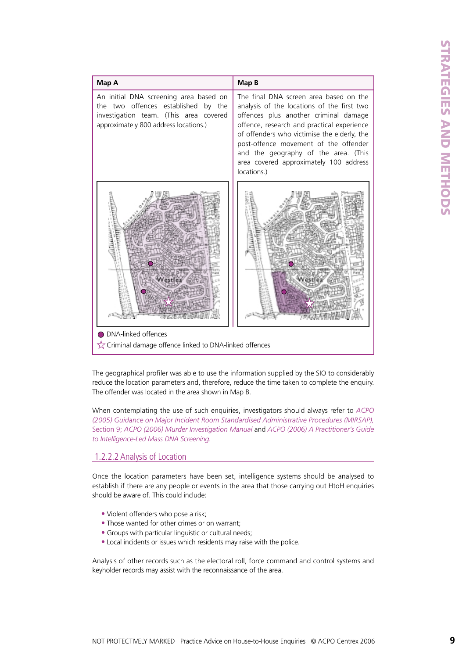<span id="page-11-0"></span>

| Map A                                                                                                                                                            | Map B                                                                                                                                                                                                                                                                                                                                                                |
|------------------------------------------------------------------------------------------------------------------------------------------------------------------|----------------------------------------------------------------------------------------------------------------------------------------------------------------------------------------------------------------------------------------------------------------------------------------------------------------------------------------------------------------------|
| An initial DNA screening area based on<br>the two offences established by the<br>investigation team. (This area covered<br>approximately 800 address locations.) | The final DNA screen area based on the<br>analysis of the locations of the first two<br>offences plus another criminal damage<br>offence, research and practical experience<br>of offenders who victimise the elderly, the<br>post-offence movement of the offender<br>and the geography of the area. (This<br>area covered approximately 100 address<br>locations.) |
|                                                                                                                                                                  |                                                                                                                                                                                                                                                                                                                                                                      |
| ● DNA-linked offences<br>$\frac{1}{\sqrt{\lambda}}$ Criminal damage offence linked to DNA-linked offences                                                        |                                                                                                                                                                                                                                                                                                                                                                      |

The geographical profiler was able to use the information supplied by the SIO to considerably reduce the location parameters and, therefore, reduce the time taken to complete the enquiry. The offender was located in the area shown in Map B.

When contemplating the use of such enquiries, investigators should always refer to *ACPO (2005) Guidance on Major Incident Room Standardised Administrative Procedures (MIRSAP),* Section 9; *ACPO (2006) Murder Investigation Manual* and *ACPO (2006) A Practitioner's Guide to Intelligence-Led Mass DNA Screening.*

#### 1.2.2.2 Analysis of Location

Once the location parameters have been set, intelligence systems should be analysed to establish if there are any people or events in the area that those carrying out HtoH enquiries should be aware of. This could include:

- Violent offenders who pose a risk;
- Those wanted for other crimes or on warrant;
- Groups with particular linguistic or cultural needs;
- Local incidents or issues which residents may raise with the police.

Analysis of other records such as the electoral roll, force command and control systems and keyholder records may assist with the reconnaissance of the area.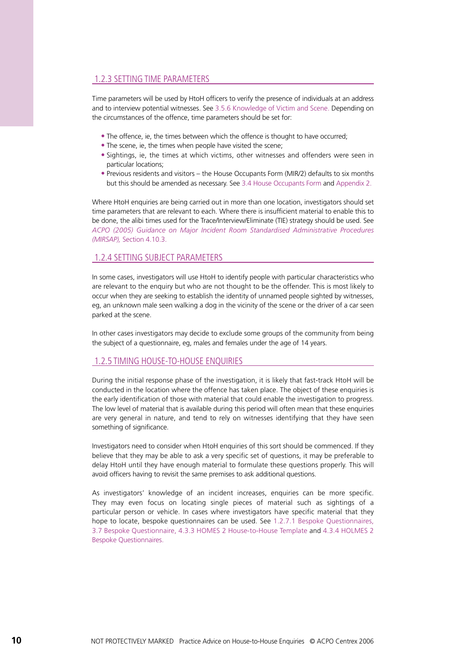#### <span id="page-12-1"></span><span id="page-12-0"></span>1.2.3 SETTING TIME PARAMETERS

Time parameters will be used by HtoH officers to verify the presence of individuals at an address and to interview potential witnesses. See [3.5.6 Knowledge of Victim and Scene.](#page-27-1) Depending on the circumstances of the offence, time parameters should be set for:

- The offence, ie, the times between which the offence is thought to have occurred;
- The scene, ie, the times when people have visited the scene;
- Sightings, ie, the times at which victims, other witnesses and offenders were seen in particular locations;
- Previous residents and visitors the House Occupants Form (MIR/2) defaults to six months but this should be amended as necessary. See [3.4 House Occupants Form](#page-26-1) and [Appendix 2.](#page-39-1)

Where HtoH enquiries are being carried out in more than one location, investigators should set time parameters that are relevant to each. Where there is insufficient material to enable this to be done, the alibi times used for the Trace/Interview/Eliminate (TIE) strategy should be used. See *ACPO (2005) Guidance on Major Incident Room Standardised Administrative Procedures (MIRSAP),* Section 4.10.3.

#### 1.2.4 SETTING SUBJECT PARAMETERS

In some cases, investigators will use HtoH to identify people with particular characteristics who are relevant to the enquiry but who are not thought to be the offender. This is most likely to occur when they are seeking to establish the identity of unnamed people sighted by witnesses, eg, an unknown male seen walking a dog in the vicinity of the scene or the driver of a car seen parked at the scene.

In other cases investigators may decide to exclude some groups of the community from being the subject of a questionnaire, eg, males and females under the age of 14 years.

#### 1.2.5 TIMING HOUSE-TO-HOUSE ENQUIRIES

During the initial response phase of the investigation, it is likely that fast-track HtoH will be conducted in the location where the offence has taken place. The object of these enquiries is the early identification of those with material that could enable the investigation to progress. The low level of material that is available during this period will often mean that these enquiries are very general in nature, and tend to rely on witnesses identifying that they have seen something of significance.

Investigators need to consider when HtoH enquiries of this sort should be commenced. If they believe that they may be able to ask a very specific set of questions, it may be preferable to delay HtoH until they have enough material to formulate these questions properly. This will avoid officers having to revisit the same premises to ask additional questions.

As investigators' knowledge of an incident increases, enquiries can be more specific. They may even focus on locating single pieces of material such as sightings of a particular person or vehicle. In cases where investigators have specific material that they hope to locate, bespoke questionnaires can be used. S[ee 1.2.7.1 Bespoke Questionnaires,](#page-13-2) [3.7 Bespoke Questionnaire,](#page-28-1) [4.3.3 HOMES 2 House-to-House Template](#page-33-1) and [4.3.4 HOLMES 2](#page-33-1) [Bespoke Questionnaires.](#page-33-1)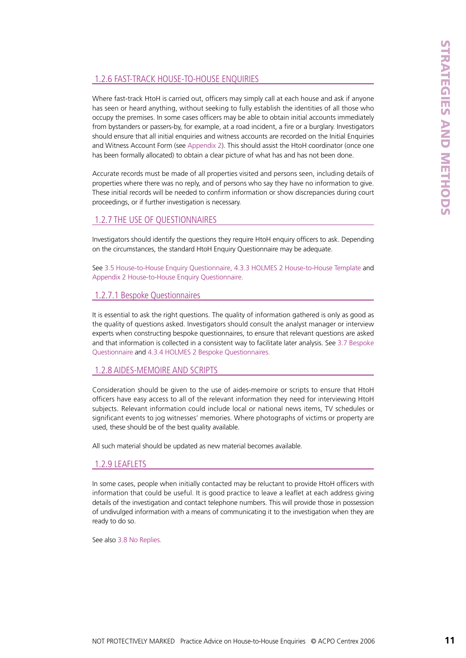#### <span id="page-13-2"></span><span id="page-13-1"></span><span id="page-13-0"></span>1.2.6 FAST-TRACK HOUSE-TO-HOUSE ENQUIRIES

Where fast-track HtoH is carried out, officers may simply call at each house and ask if anyone has seen or heard anything, without seeking to fully establish the identities of all those who occupy the premises. In some cases officers may be able to obtain initial accounts immediately from bystanders or passers-by, for example, at a road incident, a fire or a burglary. Investigators should ensure that all initial enquiries and witness accounts are recorded on the Initial Enquiries and Witness Account Form [\(see Appendix 2\).](#page-39-1) This should assist the HtoH coordinator (once one has been formally allocated) to obtain a clear picture of what has and has not been done.

Accurate records must be made of all properties visited and persons seen, including details of properties where there was no reply, and of persons who say they have no information to give. These initial records will be needed to confirm information or show discrepancies during court proceedings, or if further investigation is necessary.

#### 1.2.7 THE USE OF QUESTIONNAIRES

Investigators should identify the questions they require HtoH enquiry officers to ask. Depending on the circumstances, the standard HtoH Enquiry Questionnaire may be adequate.

See [3.5 House-to-House Enquiry Questionnaire,](#page-26-1) [4.3.3 HOLMES 2 House-to-House Template](#page-33-2) and [Appendix 2 House-to-House Enquiry Questionnaire.](#page-43-0)

#### 1.2.7.1 Bespoke Questionnaires

It is essential to ask the right questions. The quality of information gathered is only as good as the quality of questions asked. Investigators should consult the analyst manager or interview experts when constructing bespoke questionnaires, to ensure that relevant questions are asked and that information is collected in a consistent way to facilitate later analysis. See [3.7 Bespoke](#page-28-2) [Questionnaire](#page-28-2) and [4.3.4 HOLMES 2 Bespoke Questionnaires.](#page-33-2)

#### 1.2.8 AIDES-MEMOIRE AND SCRIPTS

Consideration should be given to the use of aides-memoire or scripts to ensure that HtoH officers have easy access to all of the relevant information they need for interviewing HtoH subjects. Relevant information could include local or national news items, TV schedules or significant events to jog witnesses' memories. Where photographs of victims or property are used, these should be of the best quality available.

All such material should be updated as new material becomes available.

#### 1.2.9 LEAFLETS

In some cases, people when initially contacted may be reluctant to provide HtoH officers with information that could be useful. It is good practice to leave a leaflet at each address giving details of the investigation and contact telephone numbers. This will provide those in possession of undivulged information with a means of communicating it to the investigation when they are ready to do so.

See also [3.8 No Replies.](#page-28-2)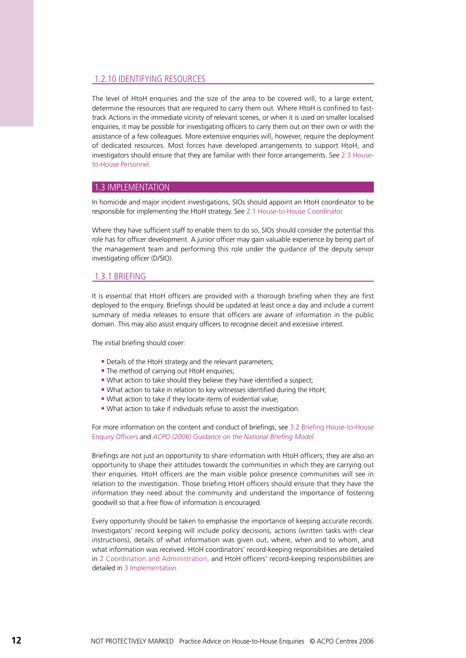#### <span id="page-14-0"></span>1.2.10 IDENTIFYING RESOURCES

The level of HtoH enquiries and the size of the area to be covered will, to a large extent, determine the resources that are required to carry them out. Where HtoH is confined to fasttrack Actions in the immediate vicinity of relevant scenes, or when it is used on smaller localised enquiries, it may be possible for investigating officers to carry them out on their own or with the assistance of a few colleagues. More extensive enquiries will, however, require the deployment of dedicated resources. Most forces have developed arrangements to support HtoH, and investigators should ensure that they are familiar with their force arrangements. See [2.3 House](#page-19-1)[to-House Personnel.](#page-19-1)

#### 1.3 IMPLEMENTATION

In homicide and major incident investigations, SIOs should appoint an HtoH coordinator to be responsible for implementing the HtoH strategy. See [2.1 House-to-House Coordinator.](#page-18-1)

Where they have sufficient staff to enable them to do so, SIOs should consider the potential this role has for officer development. A junior officer may gain valuable experience by being part of the management team and performing this role under the guidance of the deputy senior investigating officer (D/SIO).

#### 1.3.1 BRIEFING

It is essential that HtoH officers are provided with a thorough briefing when they are first deployed to the enquiry. Briefings should be updated at least once a day and include a current summary of media releases to ensure that officers are aware of information in the public domain. This may also assist enquiry officers to recognise deceit and excessive interest.

The initial briefing should cover:

- Details of the HtoH strategy and the relevant parameters;
- The method of carrying out HtoH enquiries;
- What action to take should they believe they have identified a suspect;
- What action to take in relation to key witnesses identified during the HtoH;
- What action to take if they locate items of evidential value;
- What action to take if individuals refuse to assist the investigation.

For more information on the content and conduct of briefings, see [3.2 Briefing House-to-House](#page-24-1) [Enquiry Officers](#page-24-1) and *ACPO (2006) Guidance on the National Briefing Model.* 

Briefings are not just an opportunity to share information with HtoH officers; they are also an opportunity to shape their attitudes towards the communities in which they are carrying out their enquiries. HtoH officers are the main visible police presence communities will see in relation to the investigation. Those briefing HtoH officers should ensure that they have the information they need about the community and understand the importance of fostering goodwill so that a free flow of information is encouraged.

Every opportunity should be taken to emphasise the importance of keeping accurate records. Investigators' record keeping will include policy decisions, actions (written tasks with clear instructions), details of what information was given out, where, when and to whom, and what information was received. HtoH coordinators' record-keeping responsibilities are detailed in [2 Coordination and Administration,](#page-17-1) and HtoH officers' record-keeping responsibilities are detailed in [3 Implementation.](#page-23-1)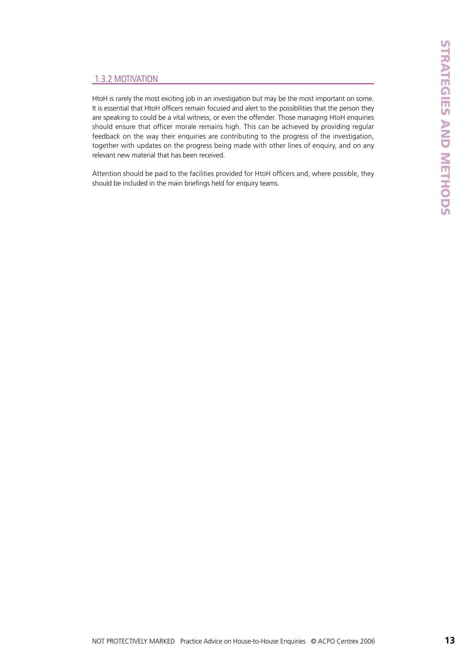#### <span id="page-15-0"></span>1.3.2 MOTIVATION

HtoH is rarely the most exciting job in an investigation but may be the most important on some. It is essential that HtoH officers remain focused and alert to the possibilities that the person they are speaking to could be a vital witness, or even the offender. Those managing HtoH enquiries should ensure that officer morale remains high. This can be achieved by providing regular feedback on the way their enquiries are contributing to the progress of the investigation, together with updates on the progress being made with other lines of enquiry, and on any relevant new material that has been received.

Attention should be paid to the facilities provided for HtoH officers and, where possible, they should be included in the main briefings held for enquiry teams.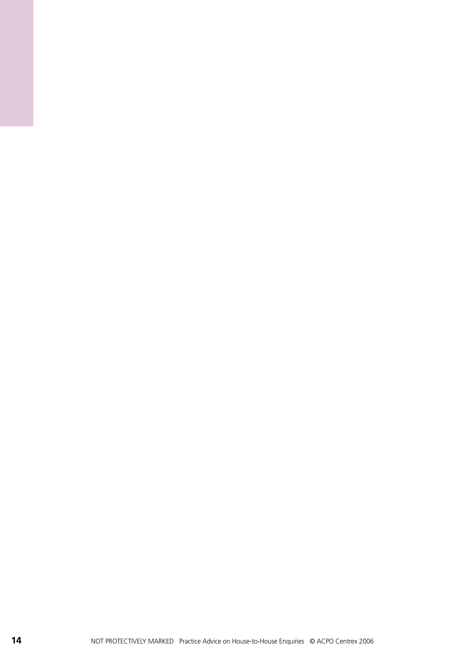[NOT PROTECTIVELY MARKED Practice Advice on House-to-House Enquiries © ACPO Centrex 2006](#page-3-1)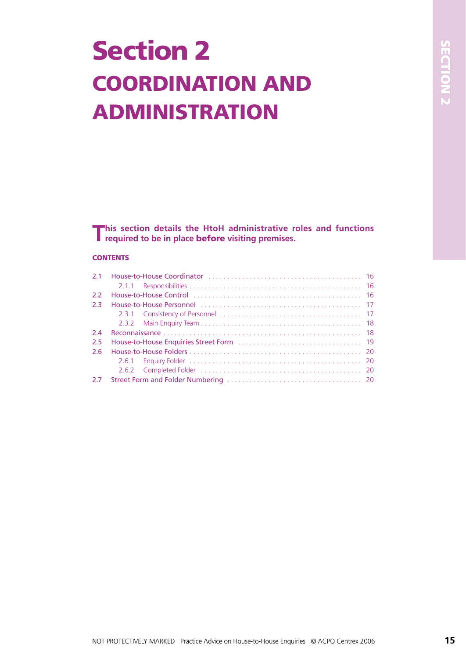# <span id="page-17-1"></span><span id="page-17-0"></span>**Section 2 COORDINATION AND ADMINISTRATION**

**This section details the HtoH administrative roles and functions required to be in place <b>before** visiting premises.

#### **CONTENTS**

| 22  |  |  |
|-----|--|--|
| 23  |  |  |
|     |  |  |
|     |  |  |
| 24  |  |  |
| 2.5 |  |  |
| 26  |  |  |
|     |  |  |
|     |  |  |
|     |  |  |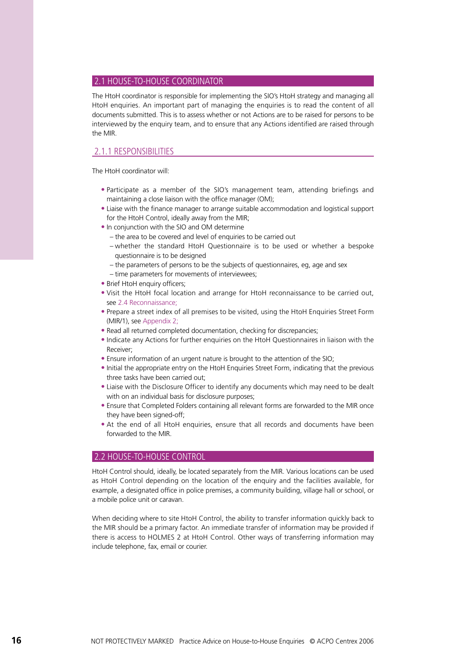#### <span id="page-18-1"></span><span id="page-18-0"></span>2.1 HOUSE-TO-HOUSE COORDINATOR

The HtoH coordinator is responsible for implementing the SIO's HtoH strategy and managing all HtoH enquiries. An important part of managing the enquiries is to read the content of all documents submitted. This is to assess whether or not Actions are to be raised for persons to be interviewed by the enquiry team, and to ensure that any Actions identified are raised through the MIR.

#### 2.1.1 RESPONSIBILITIES

The HtoH coordinator will:

- Participate as a member of the SIO's management team, attending briefings and maintaining a close liaison with the office manager (OM);
- Liaise with the finance manager to arrange suitable accommodation and logistical support for the HtoH Control, ideally away from the MIR;
- In conjunction with the SIO and OM determine
	- the area to be covered and level of enquiries to be carried out
	- whether the standard HtoH Questionnaire is to be used or whether a bespoke questionnaire is to be designed
	- the parameters of persons to be the subjects of questionnaires, eg, age and sex
	- time parameters for movements of interviewees;
- Brief HtoH enquiry officers;
- Visit the HtoH focal location and arrange for HtoH reconnaissance to be carried out, see [2.4 Reconnaissance;](#page-20-1)
- Prepare a street index of all premises to be visited, using the HtoH Enquiries Street Form (MIR/1), see [Appendix 2;](#page-39-1)
- Read all returned completed documentation, checking for discrepancies;
- Indicate any Actions for further enquiries on the HtoH Questionnaires in liaison with the Receiver;
- Ensure information of an urgent nature is brought to the attention of the SIO;
- Initial the appropriate entry on the HtoH Enquiries Street Form, indicating that the previous three tasks have been carried out;
- Liaise with the Disclosure Officer to identify any documents which may need to be dealt with on an individual basis for disclosure purposes;
- Ensure that Completed Folders containing all relevant forms are forwarded to the MIR once they have been signed-off;
- At the end of all HtoH enquiries, ensure that all records and documents have been forwarded to the MIR.

#### 2.2 HOUSE-TO-HOUSE CONTROL

HtoH Control should, ideally, be located separately from the MIR. Various locations can be used as HtoH Control depending on the location of the enquiry and the facilities available, for example, a designated office in police premises, a community building, village hall or school, or a mobile police unit or caravan.

When deciding where to site HtoH Control, the ability to transfer information quickly back to the MIR should be a primary factor. An immediate transfer of information may be provided if there is access to HOLMES 2 at HtoH Control. Other ways of transferring information may include telephone, fax, email or courier.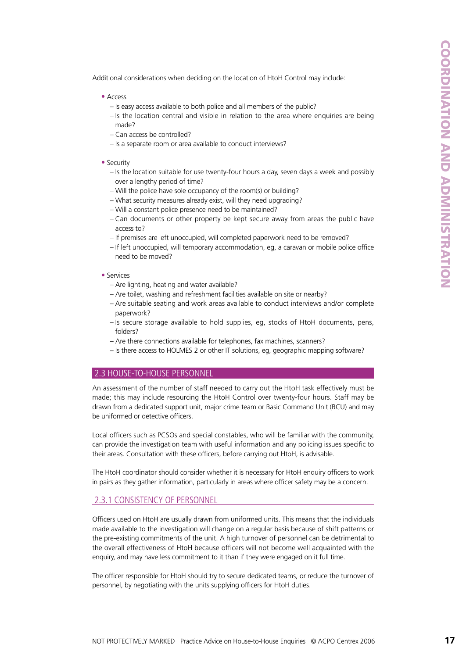<span id="page-19-1"></span><span id="page-19-0"></span>Additional considerations when deciding on the location of HtoH Control may include:

- Access
	- Is easy access available to both police and all members of the public?
	- Is the location central and visible in relation to the area where enquiries are being made?
	- Can access be controlled?
	- Is a separate room or area available to conduct interviews?
- Security
	- Is the location suitable for use twenty-four hours a day, seven days a week and possibly over a lengthy period of time?
	- Will the police have sole occupancy of the room(s) or building?
	- What security measures already exist, will they need upgrading?
	- Will a constant police presence need to be maintained?
	- Can documents or other property be kept secure away from areas the public have access to?
	- If premises are left unoccupied, will completed paperwork need to be removed?
	- If left unoccupied, will temporary accommodation, eg, a caravan or mobile police office need to be moved?
- Services
	- Are lighting, heating and water available?
	- Are toilet, washing and refreshment facilities available on site or nearby?
	- Are suitable seating and work areas available to conduct interviews and/or complete paperwork?
	- Is secure storage available to hold supplies, eg, stocks of HtoH documents, pens, folders?
	- Are there connections available for telephones, fax machines, scanners?
	- Is there access to HOLMES 2 or other IT solutions, eg, geographic mapping software?

#### 2.3 HOUSE-TO-HOUSE PERSONNEL

An assessment of the number of staff needed to carry out the HtoH task effectively must be made; this may include resourcing the HtoH Control over twenty-four hours. Staff may be drawn from a dedicated support unit, major crime team or Basic Command Unit (BCU) and may be uniformed or detective officers.

Local officers such as PCSOs and special constables, who will be familiar with the community, can provide the investigation team with useful information and any policing issues specific to their areas. Consultation with these officers, before carrying out HtoH, is advisable.

The HtoH coordinator should consider whether it is necessary for HtoH enquiry officers to work in pairs as they gather information, particularly in areas where officer safety may be a concern.

#### 2.3.1 CONSISTENCY OF PERSONNEL

Officers used on HtoH are usually drawn from uniformed units. This means that the individuals made available to the investigation will change on a regular basis because of shift patterns or the pre-existing commitments of the unit. A high turnover of personnel can be detrimental to the overall effectiveness of HtoH because officers will not become well acquainted with the enquiry, and may have less commitment to it than if they were engaged on it full time.

The officer responsible for HtoH should try to secure dedicated teams, or reduce the turnover of personnel, by negotiating with the units supplying officers for HtoH duties.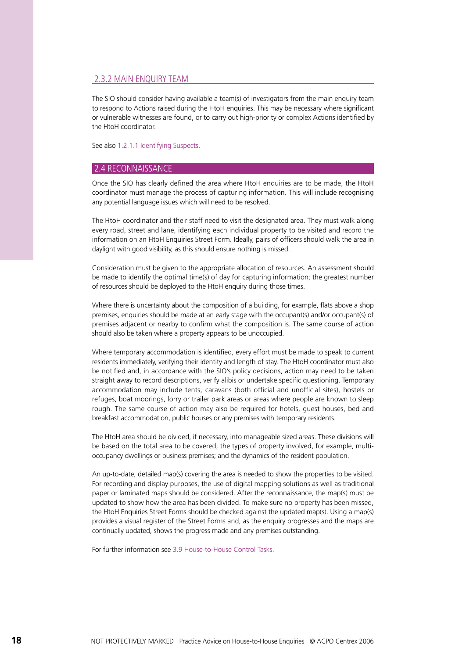#### <span id="page-20-1"></span><span id="page-20-0"></span>2.3.2 MAIN ENQUIRY TEAM

The SIO should consider having available a team(s) of investigators from the main enquiry team to respond to Actions raised during the HtoH enquiries. This may be necessary where significant or vulnerable witnesses are found, or to carry out high-priority or complex Actions identified by the HtoH coordinator.

See also [1.2.1.1 Identifying Suspects.](#page-8-1)

#### 2.4 RECONNAISSANCE

Once the SIO has clearly defined the area where HtoH enquiries are to be made, the HtoH coordinator must manage the process of capturing information. This will include recognising any potential language issues which will need to be resolved.

The HtoH coordinator and their staff need to visit the designated area. They must walk along every road, street and lane, identifying each individual property to be visited and record the information on an HtoH Enquiries Street Form. Ideally, pairs of officers should walk the area in daylight with good visibility, as this should ensure nothing is missed.

Consideration must be given to the appropriate allocation of resources. An assessment should be made to identify the optimal time(s) of day for capturing information; the greatest number of resources should be deployed to the HtoH enquiry during those times.

Where there is uncertainty about the composition of a building, for example, flats above a shop premises, enquiries should be made at an early stage with the occupant(s) and/or occupant(s) of premises adjacent or nearby to confirm what the composition is. The same course of action should also be taken where a property appears to be unoccupied.

Where temporary accommodation is identified, every effort must be made to speak to current residents immediately, verifying their identity and length of stay. The HtoH coordinator must also be notified and, in accordance with the SIO's policy decisions, action may need to be taken straight away to record descriptions, verify alibis or undertake specific questioning. Temporary accommodation may include tents, caravans (both official and unofficial sites), hostels or refuges, boat moorings, lorry or trailer park areas or areas where people are known to sleep rough. The same course of action may also be required for hotels, guest houses, bed and breakfast accommodation, public houses or any premises with temporary residents.

The HtoH area should be divided, if necessary, into manageable sized areas. These divisions will be based on the total area to be covered; the types of property involved, for example, multioccupancy dwellings or business premises; and the dynamics of the resident population.

An up-to-date, detailed map(s) covering the area is needed to show the properties to be visited. For recording and display purposes, the use of digital mapping solutions as well as traditional paper or laminated maps should be considered. After the reconnaissance, the map(s) must be updated to show how the area has been divided. To make sure no property has been missed, the HtoH Enquiries Street Forms should be checked against the updated map(s). Using a map(s) provides a visual register of the Street Forms and, as the enquiry progresses and the maps are continually updated, shows the progress made and any premises outstanding.

For further information see [3.9 House-to-House Control Tasks.](#page-28-2)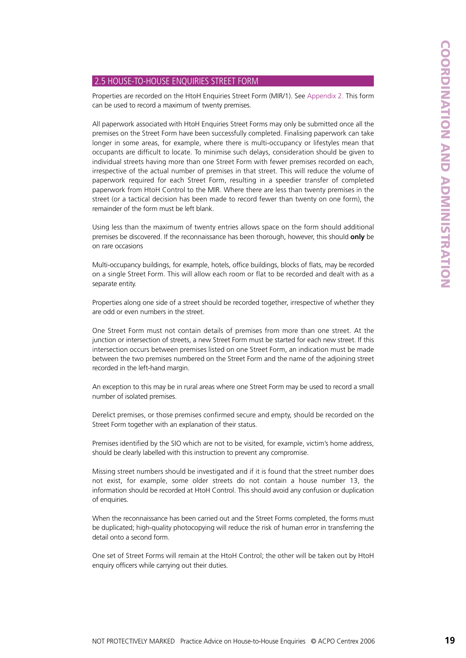#### <span id="page-21-0"></span>2.5 HOUSE-TO-HOUSE ENQUIRIES STREET FORM

Properties are recorded on the HtoH Enquiries Street Form (MIR/1). [See Appendix 2.](#page-39-1) This form can be used to record a maximum of twenty premises.

All paperwork associated with HtoH Enquiries Street Forms may only be submitted once all the premises on the Street Form have been successfully completed. Finalising paperwork can take longer in some areas, for example, where there is multi-occupancy or lifestyles mean that occupants are difficult to locate. To minimise such delays, consideration should be given to individual streets having more than one Street Form with fewer premises recorded on each, irrespective of the actual number of premises in that street. This will reduce the volume of paperwork required for each Street Form, resulting in a speedier transfer of completed paperwork from HtoH Control to the MIR. Where there are less than twenty premises in the street (or a tactical decision has been made to record fewer than twenty on one form), the remainder of the form must be left blank.

Using less than the maximum of twenty entries allows space on the form should additional premises be discovered. If the reconnaissance has been thorough, however, this should **only** be on rare occasions

Multi-occupancy buildings, for example, hotels, office buildings, blocks of flats, may be recorded on a single Street Form. This will allow each room or flat to be recorded and dealt with as a separate entity.

Properties along one side of a street should be recorded together, irrespective of whether they are odd or even numbers in the street.

One Street Form must not contain details of premises from more than one street. At the junction or intersection of streets, a new Street Form must be started for each new street. If this intersection occurs between premises listed on one Street Form, an indication must be made between the two premises numbered on the Street Form and the name of the adjoining street recorded in the left-hand margin.

An exception to this may be in rural areas where one Street Form may be used to record a small number of isolated premises.

Derelict premises, or those premises confirmed secure and empty, should be recorded on the Street Form together with an explanation of their status.

Premises identified by the SIO which are not to be visited, for example, victim's home address, should be clearly labelled with this instruction to prevent any compromise.

Missing street numbers should be investigated and if it is found that the street number does not exist, for example, some older streets do not contain a house number 13, the information should be recorded at HtoH Control. This should avoid any confusion or duplication of enquiries.

When the reconnaissance has been carried out and the Street Forms completed, the forms must be duplicated; high-quality photocopying will reduce the risk of human error in transferring the detail onto a second form.

One set of Street Forms will remain at the HtoH Control; the other will be taken out by HtoH enquiry officers while carrying out their duties.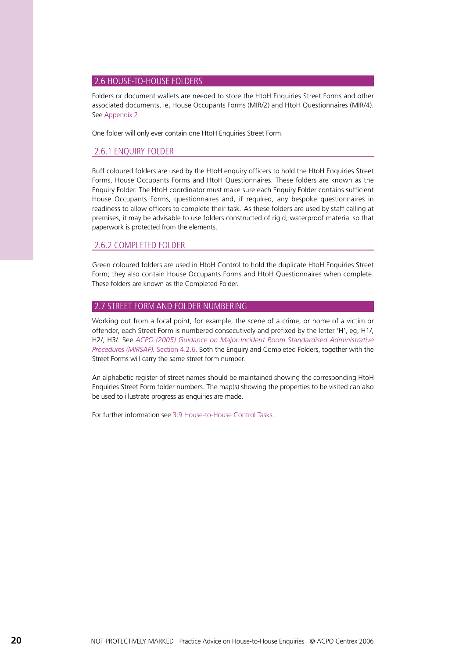#### <span id="page-22-0"></span>2.6 HOUSE-TO-HOUSE FOLDERS

Folders or document wallets are needed to store the HtoH Enquiries Street Forms and other associated documents, ie, House Occupants Forms (MIR/2) and HtoH Questionnaires (MIR/4). [See Appendix 2.](#page-39-1)

One folder will only ever contain one HtoH Enquiries Street Form.

#### 2.6.1 ENQUIRY FOLDER

Buff coloured folders are used by the HtoH enquiry officers to hold the HtoH Enquiries Street Forms, House Occupants Forms and HtoH Questionnaires. These folders are known as the Enquiry Folder. The HtoH coordinator must make sure each Enquiry Folder contains sufficient House Occupants Forms, questionnaires and, if required, any bespoke questionnaires in readiness to allow officers to complete their task. As these folders are used by staff calling at premises, it may be advisable to use folders constructed of rigid, waterproof material so that paperwork is protected from the elements.

#### 2.6.2 COMPLETED FOLDER

Green coloured folders are used in HtoH Control to hold the duplicate HtoH Enquiries Street Form; they also contain House Occupants Forms and HtoH Questionnaires when complete. These folders are known as the Completed Folder.

#### 2.7 STREET FORM AND FOLDER NUMBERING

Working out from a focal point, for example, the scene of a crime, or home of a victim or offender, each Street Form is numbered consecutively and prefixed by the letter 'H', eg, H1/, H2/, H3/. See *ACPO (2005) Guidance on Major Incident Room Standardised Administrative Procedures (MIRSAP),* Section 4.2.6. Both the Enquiry and Completed Folders, together with the Street Forms will carry the same street form number.

An alphabetic register of street names should be maintained showing the corresponding HtoH Enquiries Street Form folder numbers. The map(s) showing the properties to be visited can also be used to illustrate progress as enquiries are made.

For further information [see 3.9 House-to-House Control Tasks.](#page-28-2)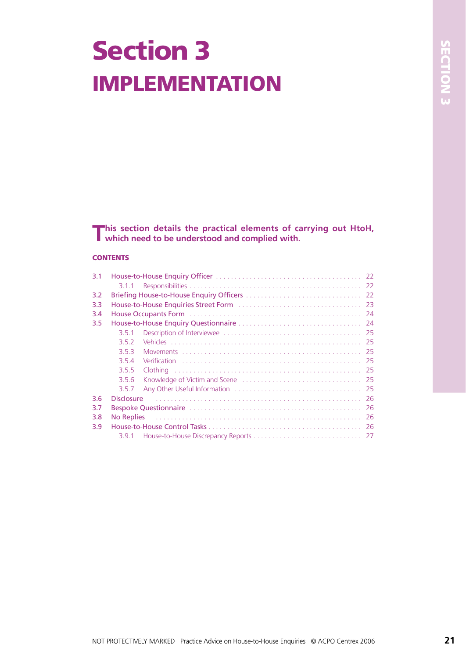# <span id="page-23-1"></span><span id="page-23-0"></span>**Section 3 IMPLEMENTATION**

**This section details the practical elements of carrying out HtoH, which need to be understood and complied with.**

#### **CONTENTS**

| 3.1 |                   |  |
|-----|-------------------|--|
|     | 311               |  |
| 3.2 |                   |  |
| 3.3 |                   |  |
| 3.4 |                   |  |
| 3.5 |                   |  |
|     | 351               |  |
|     | 352               |  |
|     | 353               |  |
|     | 354               |  |
|     | 355               |  |
|     | 3.5.6             |  |
|     | 357               |  |
| 3.6 | <b>Disclosure</b> |  |
| 3.7 |                   |  |
| 3.8 |                   |  |
| 3.9 |                   |  |
|     | 391               |  |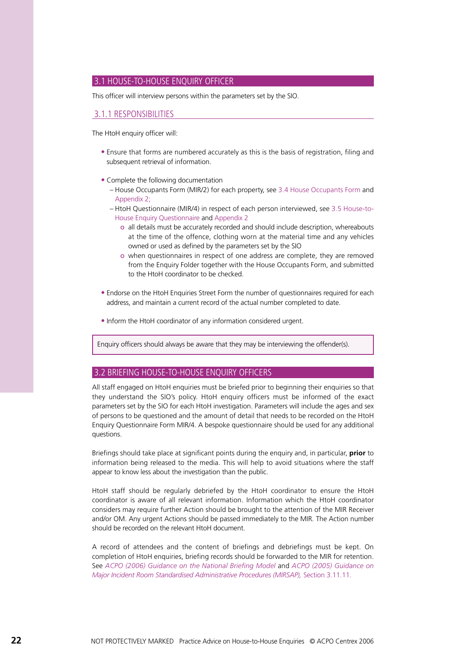#### <span id="page-24-1"></span><span id="page-24-0"></span>3.1 HOUSE-TO-HOUSE ENQUIRY OFFICER

This officer will interview persons within the parameters set by the SIO.

#### 3.1.1 RESPONSIBILITIES

The HtoH enquiry officer will:

- Ensure that forms are numbered accurately as this is the basis of registration, filing and subsequent retrieval of information.
- Complete the following documentation
	- House Occupants Form (MIR/2) for each property, see [3.4 House Occupants Form](#page-26-1) and [Appendix 2;](#page-39-1)
	- HtoH Questionnaire (MIR/4) in respect of each person interviewed, see [3.5 House-to-](#page-26-1)[House Enquiry Questionnaire](#page-26-1) and [Appendix 2](#page-39-1)
		- o all details must be accurately recorded and should include description, whereabouts at the time of the offence, clothing worn at the material time and any vehicles owned or used as defined by the parameters set by the SIO
		- o when questionnaires in respect of one address are complete, they are removed from the Enquiry Folder together with the House Occupants Form, and submitted to the HtoH coordinator to be checked.
- Endorse on the HtoH Enquiries Street Form the number of questionnaires required for each address, and maintain a current record of the actual number completed to date.
- Inform the HtoH coordinator of any information considered urgent.

Enquiry officers should always be aware that they may be interviewing the offender(s).

#### 3.2 BRIEFING HOUSE-TO-HOUSE ENQUIRY OFFICERS

All staff engaged on HtoH enquiries must be briefed prior to beginning their enquiries so that they understand the SIO's policy. HtoH enquiry officers must be informed of the exact parameters set by the SIO for each HtoH investigation. Parameters will include the ages and sex of persons to be questioned and the amount of detail that needs to be recorded on the HtoH Enquiry Questionnaire Form MIR/4. A bespoke questionnaire should be used for any additional questions.

Briefings should take place at significant points during the enquiry and, in particular, **prior** to information being released to the media. This will help to avoid situations where the staff appear to know less about the investigation than the public.

HtoH staff should be regularly debriefed by the HtoH coordinator to ensure the HtoH coordinator is aware of all relevant information. Information which the HtoH coordinator considers may require further Action should be brought to the attention of the MIR Receiver and/or OM. Any urgent Actions should be passed immediately to the MIR. The Action number should be recorded on the relevant HtoH document.

A record of attendees and the content of briefings and debriefings must be kept. On completion of HtoH enquiries, briefing records should be forwarded to the MIR for retention. See *ACPO (2006) Guidance on the National Briefing Model* and *ACPO (2005) Guidance on Major Incident Room Standardised Administrative Procedures (MIRSAP),* Section 3.11.11.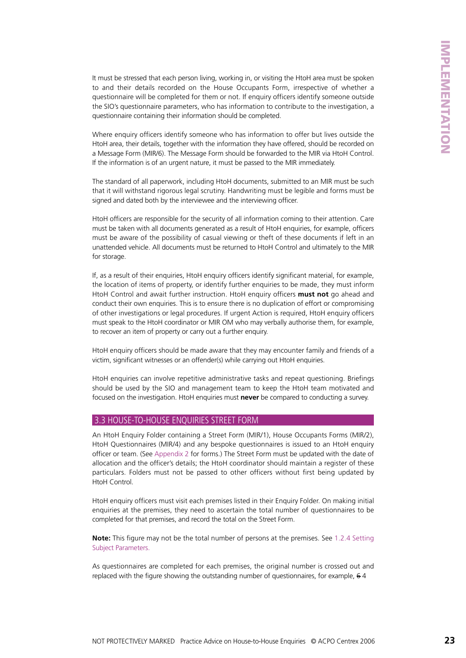<span id="page-25-0"></span>It must be stressed that each person living, working in, or visiting the HtoH area must be spoken to and their details recorded on the House Occupants Form, irrespective of whether a questionnaire will be completed for them or not. If enquiry officers identify someone outside the SIO's questionnaire parameters, who has information to contribute to the investigation, a questionnaire containing their information should be completed.

Where enquiry officers identify someone who has information to offer but lives outside the HtoH area, their details, together with the information they have offered, should be recorded on a Message Form (MIR/6). The Message Form should be forwarded to the MIR via HtoH Control. If the information is of an urgent nature, it must be passed to the MIR immediately.

The standard of all paperwork, including HtoH documents, submitted to an MIR must be such that it will withstand rigorous legal scrutiny. Handwriting must be legible and forms must be signed and dated both by the interviewee and the interviewing officer.

HtoH officers are responsible for the security of all information coming to their attention. Care must be taken with all documents generated as a result of HtoH enquiries, for example, officers must be aware of the possibility of casual viewing or theft of these documents if left in an unattended vehicle. All documents must be returned to HtoH Control and ultimately to the MIR for storage.

If, as a result of their enquiries, HtoH enquiry officers identify significant material, for example, the location of items of property, or identify further enquiries to be made, they must inform HtoH Control and await further instruction. HtoH enquiry officers **must not** go ahead and conduct their own enquiries. This is to ensure there is no duplication of effort or compromising of other investigations or legal procedures. If urgent Action is required, HtoH enquiry officers must speak to the HtoH coordinator or MIR OM who may verbally authorise them, for example, to recover an item of property or carry out a further enquiry.

HtoH enquiry officers should be made aware that they may encounter family and friends of a victim, significant witnesses or an offender(s) while carrying out HtoH enquiries.

HtoH enquiries can involve repetitive administrative tasks and repeat questioning. Briefings should be used by the SIO and management team to keep the HtoH team motivated and focused on the investigation. HtoH enquiries must **never** be compared to conducting a survey.

#### 3.3 HOUSE-TO-HOUSE ENQUIRIES STREET FORM

An HtoH Enquiry Folder containing a Street Form (MIR/1), House Occupants Forms (MIR/2), HtoH Questionnaires (MIR/4) and any bespoke questionnaires is issued to an HtoH enquiry officer or team. [\(See Appendix 2](#page-39-1) for forms.) The Street Form must be updated with the date of allocation and the officer's details; the HtoH coordinator should maintain a register of these particulars. Folders must not be passed to other officers without first being updated by HtoH Control.

HtoH enquiry officers must visit each premises listed in their Enquiry Folder. On making initial enquiries at the premises, they need to ascertain the total number of questionnaires to be completed for that premises, and record the total on the Street Form.

**Note:** This figure may not be the total number of persons at the premises. See [1.2.4 Setting](#page-12-1) [Subject Parameters.](#page-12-1)

As questionnaires are completed for each premises, the original number is crossed out and replaced with the figure showing the outstanding number of questionnaires, for example, 6 4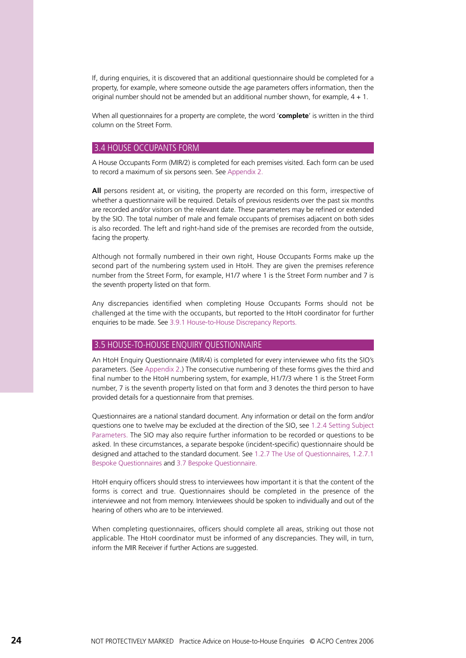<span id="page-26-1"></span><span id="page-26-0"></span>If, during enquiries, it is discovered that an additional questionnaire should be completed for a property, for example, where someone outside the age parameters offers information, then the original number should not be amended but an additional number shown, for example, 4 + 1.

When all questionnaires for a property are complete, the word '**complete**' is written in the third column on the Street Form.

#### 3.4 HOUSE OCCUPANTS FORM

A House Occupants Form (MIR/2) is completed for each premises visited. Each form can be used to record a maximum of six persons seen. [See Appendix 2.](#page-39-1)

**All** persons resident at, or visiting, the property are recorded on this form, irrespective of whether a questionnaire will be required. Details of previous residents over the past six months are recorded and/or visitors on the relevant date. These parameters may be refined or extended by the SIO. The total number of male and female occupants of premises adjacent on both sides is also recorded. The left and right-hand side of the premises are recorded from the outside, facing the property.

Although not formally numbered in their own right, House Occupants Forms make up the second part of the numbering system used in HtoH. They are given the premises reference number from the Street Form, for example, H1/7 where 1 is the Street Form number and 7 is the seventh property listed on that form.

Any discrepancies identified when completing House Occupants Forms should not be challenged at the time with the occupants, but reported to the HtoH coordinator for further enquiries to be made. [See 3.9.1 House-to-House Discrepancy Reports.](#page-29-1)

#### 3.5 HOUSE-TO-HOUSE ENQUIRY QUESTIONNAIRE

An HtoH Enquiry Questionnaire (MIR/4) is completed for every interviewee who fits the SIO's parameters. (See [Appendix 2.\)](#page-39-1) The consecutive numbering of these forms gives the third and final number to the HtoH numbering system, for example, H1/7/3 where 1 is the Street Form number, 7 is the seventh property listed on that form and 3 denotes the third person to have provided details for a questionnaire from that premises.

Questionnaires are a national standard document. Any information or detail on the form and/or questions one to twelve may be excluded at the direction of the SIO, see [1.2.4 Setting Subject](#page-12-1) [Parameters.](#page-12-1) The SIO may also require further information to be recorded or questions to be asked. In these circumstances, a separate bespoke (incident-specific) questionnaire should be designed and attached to the standard document. See [1.2.7 The Use of Questionnaires, 1.2.7.1](#page-13-1) [Bespoke Questionnaires](#page-13-1) and [3.7 Bespoke Questionnaire.](#page-28-2)

HtoH enquiry officers should stress to interviewees how important it is that the content of the forms is correct and true. Questionnaires should be completed in the presence of the interviewee and not from memory. Interviewees should be spoken to individually and out of the hearing of others who are to be interviewed.

When completing questionnaires, officers should complete all areas, striking out those not applicable. The HtoH coordinator must be informed of any discrepancies. They will, in turn, inform the MIR Receiver if further Actions are suggested.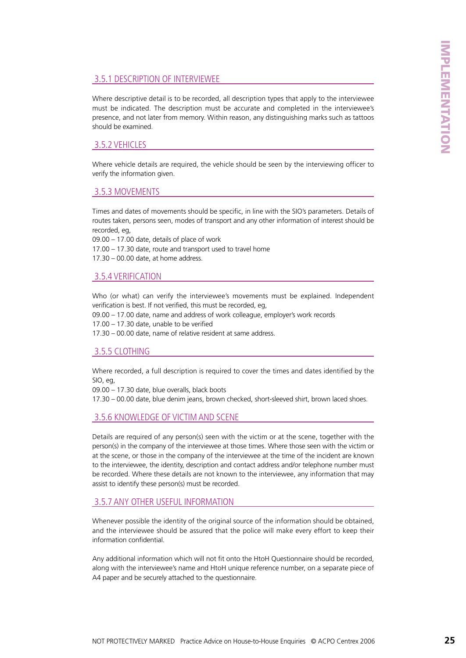#### <span id="page-27-1"></span><span id="page-27-0"></span>3.5.1 DESCRIPTION OF INTERVIEWEE

Where descriptive detail is to be recorded, all description types that apply to the interviewee must be indicated. The description must be accurate and completed in the interviewee's presence, and not later from memory. Within reason, any distinguishing marks such as tattoos should be examined.

#### 3.5.2 VEHICLES

Where vehicle details are required, the vehicle should be seen by the interviewing officer to verify the information given.

#### 3.5.3 MOVEMENTS

Times and dates of movements should be specific, in line with the SIO's parameters. Details of routes taken, persons seen, modes of transport and any other information of interest should be recorded, eg,

09.00 – 17.00 date, details of place of work 17.00 – 17.30 date, route and transport used to travel home

17.30 – 00.00 date, at home address.

#### 3.5.4 VERIFICATION

Who (or what) can verify the interviewee's movements must be explained. Independent verification is best. If not verified, this must be recorded, eg,

09.00 – 17.00 date, name and address of work colleague, employer's work records

17.00 – 17.30 date, unable to be verified

17.30 – 00.00 date, name of relative resident at same address.

#### 3.5.5 CLOTHING

Where recorded, a full description is required to cover the times and dates identified by the SIO, eg,

09.00 – 17.30 date, blue overalls, black boots

17.30 – 00.00 date, blue denim jeans, brown checked, short-sleeved shirt, brown laced shoes.

#### 3.5.6 KNOWLEDGE OF VICTIM AND SCENE

Details are required of any person(s) seen with the victim or at the scene, together with the person(s) in the company of the interviewee at those times. Where those seen with the victim or at the scene, or those in the company of the interviewee at the time of the incident are known to the interviewee, the identity, description and contact address and/or telephone number must be recorded. Where these details are not known to the interviewee, any information that may assist to identify these person(s) must be recorded.

#### 3.5.7 ANY OTHER USEFUL INFORMATION

Whenever possible the identity of the original source of the information should be obtained, and the interviewee should be assured that the police will make every effort to keep their information confidential.

Any additional information which will not fit onto the HtoH Questionnaire should be recorded, along with the interviewee's name and HtoH unique reference number, on a separate piece of A4 paper and be securely attached to the questionnaire.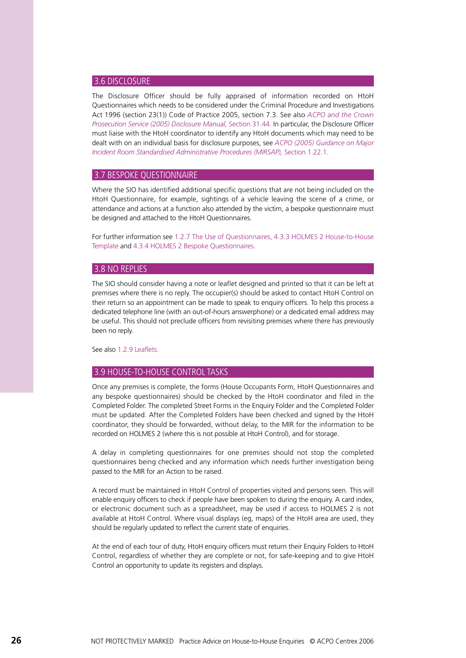#### <span id="page-28-2"></span><span id="page-28-1"></span><span id="page-28-0"></span>3.6 DISCLOSURE

The Disclosure Officer should be fully appraised of information recorded on HtoH Questionnaires which needs to be considered under the Criminal Procedure and Investigations Act 1996 (section 23(1)) Code of Practice 2005, section 7.3. See also *ACPO and the Crown Prosecution Service (2005) Disclosure Manual,* Section 31.44. In particular, the Disclosure Officer must liaise with the HtoH coordinator to identify any HtoH documents which may need to be dealt with on an individual basis for disclosure purposes, see *ACPO (2005) Guidance on Major Incident Room Standardised Administrative Procedures (MIRSAP),* Section 1.22.1.

#### 3.7 BESPOKE QUESTIONNAIRE

Where the SIO has identified additional specific questions that are not being included on the HtoH Questionnaire, for example, sightings of a vehicle leaving the scene of a crime, or attendance and actions at a function also attended by the victim, a bespoke questionnaire must be designed and attached to the HtoH Questionnaires.

For further information see [1.2.7 The Use of Questionnaires,](#page-13-1) [4.3.3 HOLMES 2 House-to-House](#page-33-2) [Template](#page-33-2) and [4.3.4 HOLMES 2 Bespoke Questionnaires.](#page-33-2)

#### 3.8 NO REPLIES

The SIO should consider having a note or leaflet designed and printed so that it can be left at premises where there is no reply. The occupier(s) should be asked to contact HtoH Control on their return so an appointment can be made to speak to enquiry officers. To help this process a dedicated telephone line (with an out-of-hours answerphone) or a dedicated email address may be useful. This should not preclude officers from revisiting premises where there has previously been no reply.

See [also 1.2.9 Leaflets.](#page-13-1)

#### 3.9 HOUSE-TO-HOUSE CONTROL TASKS

Once any premises is complete, the forms (House Occupants Form, HtoH Questionnaires and any bespoke questionnaires) should be checked by the HtoH coordinator and filed in the Completed Folder. The completed Street Forms in the Enquiry Folder and the Completed Folder must be updated. After the Completed Folders have been checked and signed by the HtoH coordinator, they should be forwarded, without delay, to the MIR for the information to be recorded on HOLMES 2 (where this is not possible at HtoH Control), and for storage.

A delay in completing questionnaires for one premises should not stop the completed questionnaires being checked and any information which needs further investigation being passed to the MIR for an Action to be raised.

A record must be maintained in HtoH Control of properties visited and persons seen. This will enable enquiry officers to check if people have been spoken to during the enquiry. A card index, or electronic document such as a spreadsheet, may be used if access to HOLMES 2 is not available at HtoH Control. Where visual displays (eg, maps) of the HtoH area are used, they should be regularly updated to reflect the current state of enquiries.

At the end of each tour of duty, HtoH enquiry officers must return their Enquiry Folders to HtoH Control, regardless of whether they are complete or not, for safe-keeping and to give HtoH Control an opportunity to update its registers and displays.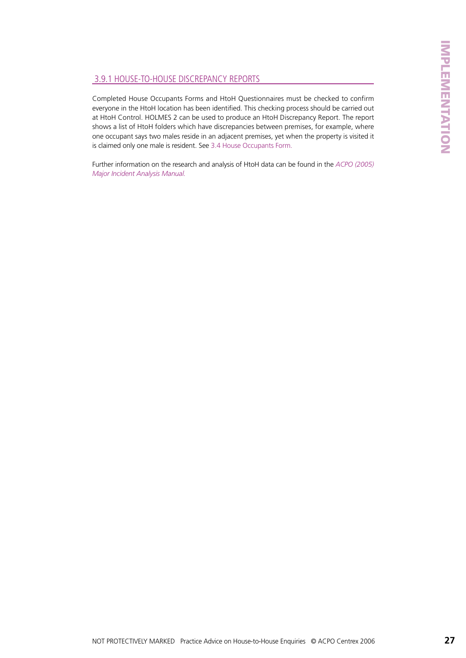#### <span id="page-29-1"></span><span id="page-29-0"></span>3.9.1 HOUSE-TO-HOUSE DISCREPANCY REPORTS

Completed House Occupants Forms and HtoH Questionnaires must be checked to confirm everyone in the HtoH location has been identified. This checking process should be carried out at HtoH Control. HOLMES 2 can be used to produce an HtoH Discrepancy Report. The report shows a list of HtoH folders which have discrepancies between premises, for example, where one occupant says two males reside in an adjacent premises, yet when the property is visited it is claimed only one male is resident. See [3.4 House Occupants Form.](#page-26-1)

Further information on the research and analysis of HtoH data can be found in the *ACPO (2005) Major Incident Analysis Manual.*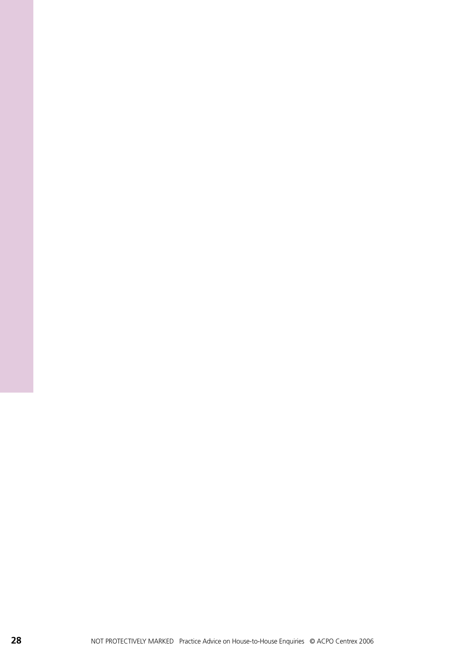[NOT PROTECTIVELY MARKED Practice Advice on House-to-House Enquiries © ACPO Centrex 2006](#page-4-0)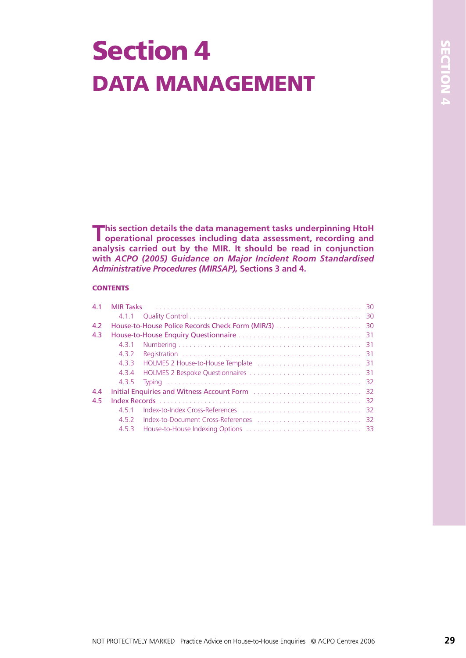# <span id="page-31-0"></span>**Section 4 DATA MANAGEMENT**

This section details the data management tasks underpinning HtoH operational processes including data assessment, recording and **analysis carried out by the MIR. It should be read in conjunction with** *ACPO (2005) Guidance on Major Incident Room Standardised Administrative Procedures (MIRSAP),* **Sections 3 and 4.**

#### **CONTENTS**

| 41  | <b>MIR Tasks</b> |                                    |  |
|-----|------------------|------------------------------------|--|
|     | 4.1.1            |                                    |  |
| 4.2 |                  |                                    |  |
| 4.3 |                  |                                    |  |
|     | 431              |                                    |  |
|     | 4.3.2            |                                    |  |
|     | 4.3.3            |                                    |  |
|     | 4.3.4            |                                    |  |
|     | 435              |                                    |  |
| 4.4 |                  |                                    |  |
| 4.5 |                  |                                    |  |
|     | 451              | Index-to-Index Cross-References    |  |
|     | 452              | Index-to-Document Cross-References |  |
|     | 453              |                                    |  |
|     |                  |                                    |  |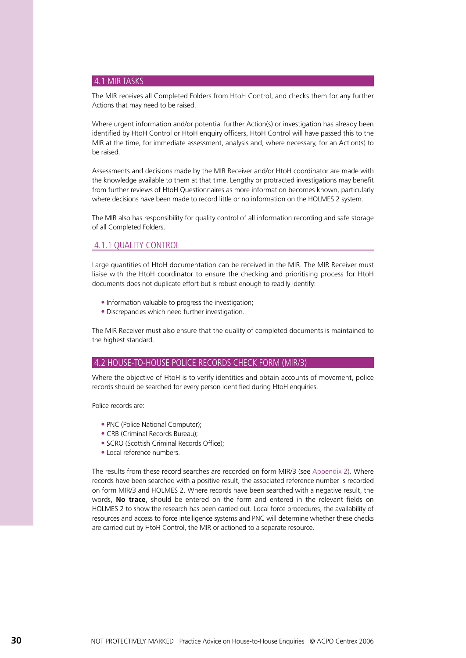#### <span id="page-32-0"></span>4.1 MIR TASKS

The MIR receives all Completed Folders from HtoH Control, and checks them for any further Actions that may need to be raised.

Where urgent information and/or potential further Action(s) or investigation has already been identified by HtoH Control or HtoH enquiry officers, HtoH Control will have passed this to the MIR at the time, for immediate assessment, analysis and, where necessary, for an Action(s) to be raised.

Assessments and decisions made by the MIR Receiver and/or HtoH coordinator are made with the knowledge available to them at that time. Lengthy or protracted investigations may benefit from further reviews of HtoH Questionnaires as more information becomes known, particularly where decisions have been made to record little or no information on the HOLMES 2 system.

The MIR also has responsibility for quality control of all information recording and safe storage of all Completed Folders.

#### 4.1.1 QUALITY CONTROL

Large quantities of HtoH documentation can be received in the MIR. The MIR Receiver must liaise with the HtoH coordinator to ensure the checking and prioritising process for HtoH documents does not duplicate effort but is robust enough to readily identify:

- Information valuable to progress the investigation;
- Discrepancies which need further investigation.

The MIR Receiver must also ensure that the quality of completed documents is maintained to the highest standard.

#### 4.2 HOUSE-TO-HOUSE POLICE RECORDS CHECK FORM (MIR/3)

Where the objective of HtoH is to verify identities and obtain accounts of movement, police records should be searched for every person identified during HtoH enquiries.

Police records are:

- PNC (Police National Computer);
- CRB (Criminal Records Bureau);
- SCRO (Scottish Criminal Records Office);
- Local reference numbers.

The results from these record searches are recorded on form MIR/3 [\(see Appendix 2\).](#page-39-1) Where records have been searched with a positive result, the associated reference number is recorded on form MIR/3 and HOLMES 2. Where records have been searched with a negative result, the words, **No trace**, should be entered on the form and entered in the relevant fields on HOLMES 2 to show the research has been carried out. Local force procedures, the availability of resources and access to force intelligence systems and PNC will determine whether these checks are carried out by HtoH Control, the MIR or actioned to a separate resource.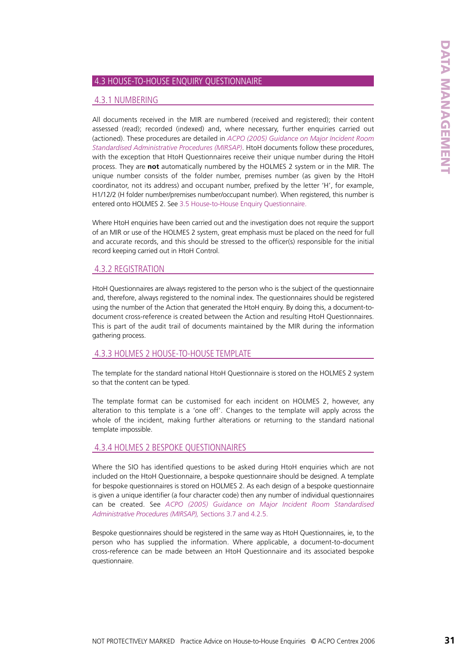#### <span id="page-33-2"></span><span id="page-33-1"></span><span id="page-33-0"></span>4.3 HOUSE-TO-HOUSE ENQUIRY QUESTIONNAIRE

#### 4.3.1 NUMBERING

All documents received in the MIR are numbered (received and registered); their content assessed (read); recorded (indexed) and, where necessary, further enquiries carried out (actioned). These procedures are detailed in *ACPO (2005) Guidance on Major Incident Room Standardised Administrative Procedures (MIRSAP)*. HtoH documents follow these procedures, with the exception that HtoH Questionnaires receive their unique number during the HtoH process. They are **not** automatically numbered by the HOLMES 2 system or in the MIR. The unique number consists of the folder number, premises number (as given by the HtoH coordinator, not its address) and occupant number, prefixed by the letter 'H', for example, H1/12/2 (H folder number/premises number/occupant number). When registered, this number is entered onto HOLMES 2. [See 3.5 House-to-House Enquiry Questionnaire.](#page-26-1)

Where HtoH enquiries have been carried out and the investigation does not require the support of an MIR or use of the HOLMES 2 system, great emphasis must be placed on the need for full and accurate records, and this should be stressed to the officer(s) responsible for the initial record keeping carried out in HtoH Control.

#### 4.3.2 REGISTRATION

HtoH Questionnaires are always registered to the person who is the subject of the questionnaire and, therefore, always registered to the nominal index. The questionnaires should be registered using the number of the Action that generated the HtoH enquiry. By doing this, a document-todocument cross-reference is created between the Action and resulting HtoH Questionnaires. This is part of the audit trail of documents maintained by the MIR during the information gathering process.

#### 4.3.3 HOLMES 2 HOUSE-TO-HOUSE TEMPLATE

The template for the standard national HtoH Questionnaire is stored on the HOLMES 2 system so that the content can be typed.

The template format can be customised for each incident on HOLMES 2, however, any alteration to this template is a 'one off'. Changes to the template will apply across the whole of the incident, making further alterations or returning to the standard national template impossible.

#### 4.3.4 HOLMES 2 BESPOKE QUESTIONNAIRES

Where the SIO has identified questions to be asked during HtoH enquiries which are not included on the HtoH Questionnaire, a bespoke questionnaire should be designed. A template for bespoke questionnaires is stored on HOLMES 2. As each design of a bespoke questionnaire is given a unique identifier (a four character code) then any number of individual questionnaires can be created. See *ACPO (2005) Guidance on Major Incident Room Standardised Administrative Procedures (MIRSAP),* Sections 3.7 and 4.2.5.

Bespoke questionnaires should be registered in the same way as HtoH Questionnaires, ie, to the person who has supplied the information. Where applicable, a document-to-document cross-reference can be made between an HtoH Questionnaire and its associated bespoke questionnaire.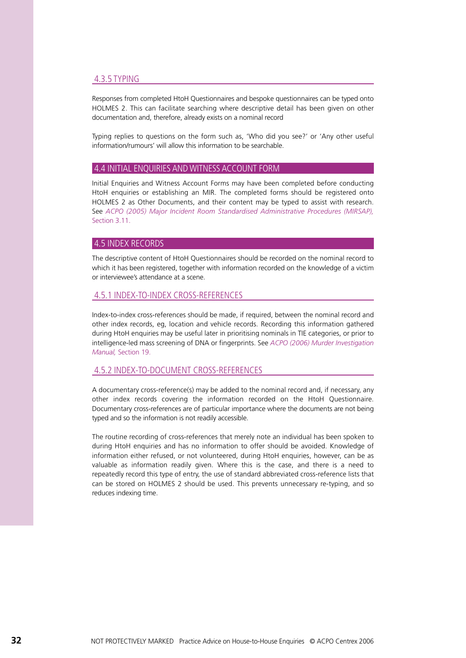#### <span id="page-34-0"></span>4.3.5 TYPING

Responses from completed HtoH Questionnaires and bespoke questionnaires can be typed onto HOLMES 2. This can facilitate searching where descriptive detail has been given on other documentation and, therefore, already exists on a nominal record

Typing replies to questions on the form such as, 'Who did you see?' or 'Any other useful information/rumours' will allow this information to be searchable.

#### 4.4 INITIAL ENQUIRIES AND WITNESS ACCOUNT FORM

Initial Enquiries and Witness Account Forms may have been completed before conducting HtoH enquiries or establishing an MIR. The completed forms should be registered onto HOLMES 2 as Other Documents, and their content may be typed to assist with research. See *ACPO (2005) Major Incident Room Standardised Administrative Procedures (MIRSAP),* Section 3.11.

#### 4.5 INDEX RECORDS

The descriptive content of HtoH Questionnaires should be recorded on the nominal record to which it has been registered, together with information recorded on the knowledge of a victim or interviewee's attendance at a scene.

#### 4.5.1 INDEX-TO-INDEX CROSS-REFERENCES

Index-to-index cross-references should be made, if required, between the nominal record and other index records, eg, location and vehicle records. Recording this information gathered during HtoH enquiries may be useful later in prioritising nominals in TIE categories, or prior to intelligence-led mass screening of DNA or fingerprints. See *ACPO (2006) Murder Investigation Manual,* Section 19.

#### 4.5.2 INDEX-TO-DOCUMENT CROSS-REFERENCES

A documentary cross-reference(s) may be added to the nominal record and, if necessary, any other index records covering the information recorded on the HtoH Questionnaire. Documentary cross-references are of particular importance where the documents are not being typed and so the information is not readily accessible.

The routine recording of cross-references that merely note an individual has been spoken to during HtoH enquiries and has no information to offer should be avoided. Knowledge of information either refused, or not volunteered, during HtoH enquiries, however, can be as valuable as information readily given. Where this is the case, and there is a need to repeatedly record this type of entry, the use of standard abbreviated cross-reference lists that can be stored on HOLMES 2 should be used. This prevents unnecessary re-typing, and so reduces indexing time.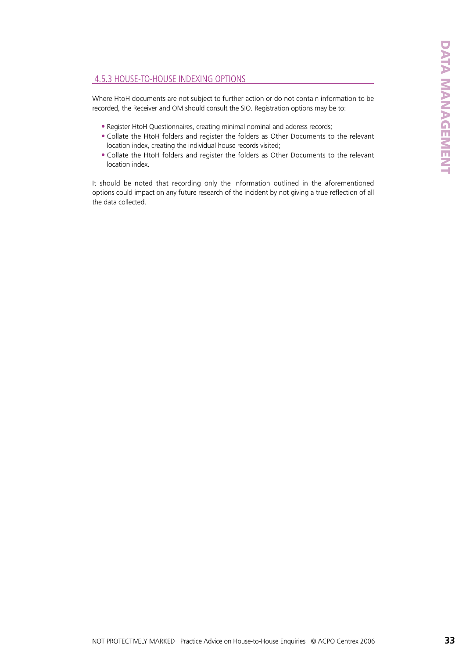#### <span id="page-35-0"></span>4.5.3 HOUSE-TO-HOUSE INDEXING OPTIONS

Where HtoH documents are not subject to further action or do not contain information to be recorded, the Receiver and OM should consult the SIO. Registration options may be to:

- Register HtoH Questionnaires, creating minimal nominal and address records;
- Collate the HtoH folders and register the folders as Other Documents to the relevant location index, creating the individual house records visited;
- Collate the HtoH folders and register the folders as Other Documents to the relevant location index.

It should be noted that recording only the information outlined in the aforementioned options could impact on any future research of the incident by not giving a true reflection of all the data collected.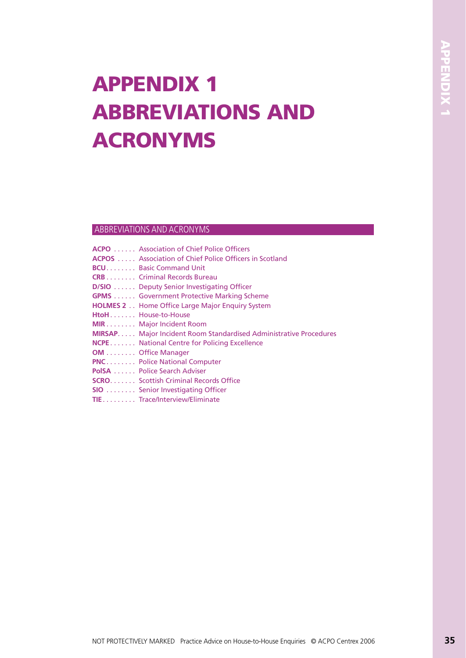# <span id="page-37-0"></span>**APPENDIX 1 ABBREVIATIONS AND ACRONYMS**

#### ABBREVIATIONS AND ACRONYMS

| <b>ACPO</b> Association of Chief Police Officers                         |
|--------------------------------------------------------------------------|
| <b>ACPOS</b> Association of Chief Police Officers in Scotland            |
| <b>BCU Basic Command Unit</b>                                            |
| <b>CRB</b> Criminal Records Bureau                                       |
| D/SIO Deputy Senior Investigating Officer                                |
| <b>GPMS</b> Government Protective Marking Scheme                         |
| <b>HOLMES 2</b> Home Office Large Major Enquiry System                   |
| HtoH House-to-House                                                      |
| MIR Major Incident Room                                                  |
| <b>MIRSAP</b> Major Incident Room Standardised Administrative Procedures |
| <b>NCPE</b> National Centre for Policing Excellence                      |
| <b>OM</b> Office Manager                                                 |
| <b>PNC Police National Computer</b>                                      |
| PolSA Police Search Adviser                                              |
| <b>SCRO</b> Scottish Criminal Records Office                             |
| <b>SIO</b> Senior Investigating Officer                                  |
| TIE Trace/Interview/Eliminate                                            |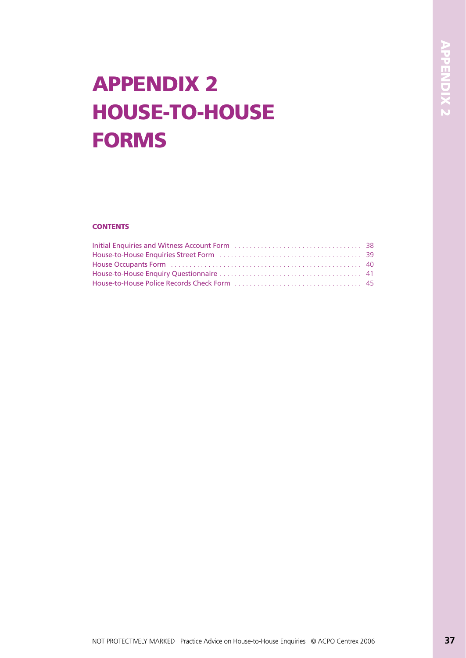# <span id="page-39-1"></span><span id="page-39-0"></span>**APPENDIX 2 HOUSE-TO-HOUSE FORMS**

#### **CONTENTS**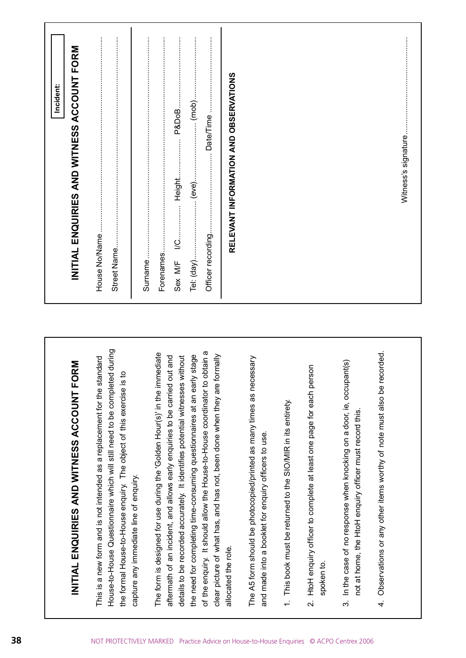<span id="page-40-0"></span>

| Incident:                                                                                                                                                        |  |
|------------------------------------------------------------------------------------------------------------------------------------------------------------------|--|
| INITIAL ENQUIRIES AND WITNESS ACCOUNT FORM                                                                                                                       |  |
| House No/Name                                                                                                                                                    |  |
| Street Name                                                                                                                                                      |  |
| Surname                                                                                                                                                          |  |
| Forenames.                                                                                                                                                       |  |
| P&DoB.<br>$\begin{array}{c} \begin{array}{c} \begin{array}{c} \begin{array}{c} \end{array}\\ \end{array} \end{array} \end{array}$<br>Height<br>ن<br> <br>Sex M/F |  |
| $\ldots$ (mob).<br>$\ldots$ (eve)<br>Tel: (day)                                                                                                                  |  |
| Date/Time<br>Officer recording.                                                                                                                                  |  |
| RELEVANT INFORMATION AND OBSERVATIONS                                                                                                                            |  |
|                                                                                                                                                                  |  |
|                                                                                                                                                                  |  |
|                                                                                                                                                                  |  |
|                                                                                                                                                                  |  |
|                                                                                                                                                                  |  |
|                                                                                                                                                                  |  |
|                                                                                                                                                                  |  |
| Witness's signature                                                                                                                                              |  |
|                                                                                                                                                                  |  |

| INITIAL ENQUIRIES AND WITNESS ACCOUNT FORM                                                                                                                                                                                                                                                                                               |
|------------------------------------------------------------------------------------------------------------------------------------------------------------------------------------------------------------------------------------------------------------------------------------------------------------------------------------------|
| This is a new form and is not intended as a replacement for the standard                                                                                                                                                                                                                                                                 |
| House-to-House Questionnaire which will still need to be completed during<br>the formal House-to-House enquiry. The object of this exercise is to<br>capture any immediate line of enquiry.                                                                                                                                              |
| The form is designed for use during the 'Golden Hour(s)' in the immediate<br>aftermath of an incident, and allows early enquiries to be carried out and                                                                                                                                                                                  |
| of the enquiry. It should allow the House-to-House coordinator to obtain a<br>clear picture of what has, and has not, been done when they are formally<br>the need for completing time-consuming questionnaires at an early stage<br>details to be recorded accurately. It identifies potential witnesses without<br>allocated the role. |
| The A5 form should be photocopied/printed as many times as necessary<br>and made into a booklet for enquiry officers to use.                                                                                                                                                                                                             |
| This book must be returned to the SIO/MIR in its entirety.<br>$\div$                                                                                                                                                                                                                                                                     |
| HtoH enquiry officer to complete at least one page for each person<br>spoken to.<br>$\overline{\mathsf{N}}$                                                                                                                                                                                                                              |
| In the case of no response when knocking on a door, ie, occupant(s)<br>not at home, the HtoH enquiry officer must record this.<br>$\dot{\infty}$                                                                                                                                                                                         |
| Observations or any other items worthy of note must also be recorded.<br>4                                                                                                                                                                                                                                                               |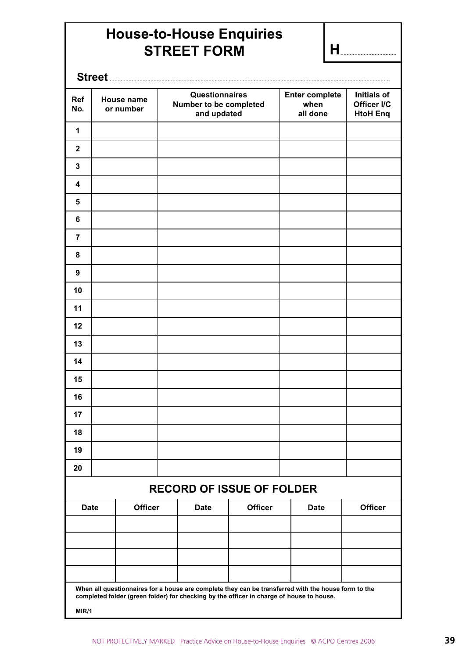<span id="page-41-0"></span>

|                  | Street                  |                                  |                                                         |                                           |                                                      |
|------------------|-------------------------|----------------------------------|---------------------------------------------------------|-------------------------------------------|------------------------------------------------------|
| Ref<br>No.       | House name<br>or number |                                  | Questionnaires<br>Number to be completed<br>and updated | <b>Enter complete</b><br>when<br>all done | <b>Initials of</b><br>Officer I/C<br><b>HtoH</b> Enq |
| $\mathbf 1$      |                         |                                  |                                                         |                                           |                                                      |
| $\overline{2}$   |                         |                                  |                                                         |                                           |                                                      |
| $\mathbf{3}$     |                         |                                  |                                                         |                                           |                                                      |
| $\boldsymbol{4}$ |                         |                                  |                                                         |                                           |                                                      |
| 5                |                         |                                  |                                                         |                                           |                                                      |
| 6                |                         |                                  |                                                         |                                           |                                                      |
| $\overline{7}$   |                         |                                  |                                                         |                                           |                                                      |
| 8                |                         |                                  |                                                         |                                           |                                                      |
| 9                |                         |                                  |                                                         |                                           |                                                      |
| 10               |                         |                                  |                                                         |                                           |                                                      |
| 11               |                         |                                  |                                                         |                                           |                                                      |
| 12               |                         |                                  |                                                         |                                           |                                                      |
| 13               |                         |                                  |                                                         |                                           |                                                      |
| 14               |                         |                                  |                                                         |                                           |                                                      |
| 15               |                         |                                  |                                                         |                                           |                                                      |
| 16               |                         |                                  |                                                         |                                           |                                                      |
| 17               |                         |                                  |                                                         |                                           |                                                      |
| 18               |                         |                                  |                                                         |                                           |                                                      |
| 19               |                         |                                  |                                                         |                                           |                                                      |
| 20               |                         |                                  |                                                         |                                           |                                                      |
|                  |                         | <b>RECORD OF ISSUE OF FOLDER</b> |                                                         |                                           |                                                      |
| <b>Date</b>      | <b>Officer</b>          | <b>Date</b>                      | <b>Officer</b>                                          | <b>Date</b>                               | <b>Officer</b>                                       |
|                  |                         |                                  |                                                         |                                           |                                                      |
|                  |                         |                                  |                                                         |                                           |                                                      |
|                  |                         |                                  |                                                         |                                           |                                                      |

**MIR/1**

I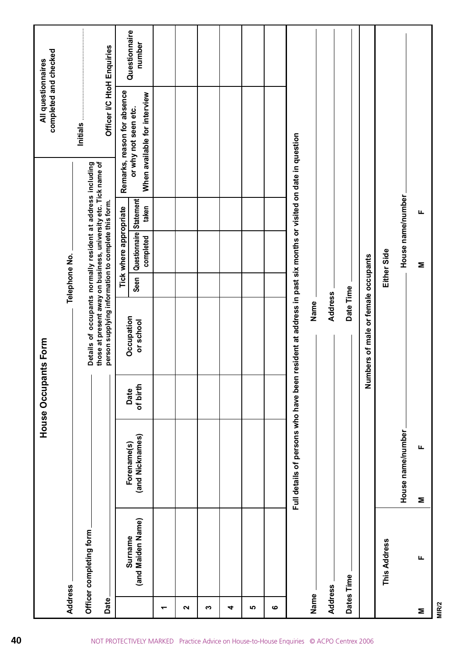<span id="page-42-0"></span>

|                          |                              |                                       | House Occupar    | nts Form                                                                                                               |               |                                      |       |                                                      | completed and checked<br>All questionnaires |                            |
|--------------------------|------------------------------|---------------------------------------|------------------|------------------------------------------------------------------------------------------------------------------------|---------------|--------------------------------------|-------|------------------------------------------------------|---------------------------------------------|----------------------------|
| <b>Address</b>           |                              |                                       |                  |                                                                                                                        | Telephone No. |                                      |       |                                                      |                                             |                            |
|                          | Officer completing form      |                                       |                  | Details of occupants normally resident at address including                                                            |               |                                      |       |                                                      |                                             |                            |
| Date                     |                              |                                       |                  | those at present away on business, university etc. Tick name of<br>person supplying information to complete this form. |               |                                      |       |                                                      |                                             | Officer I/C HtoH Enquiries |
|                          |                              |                                       |                  |                                                                                                                        |               | Tick where appropriate               |       | Remarks, reason for absence                          |                                             |                            |
|                          | (and Maiden Name)<br>Surname | (and Nicknames)<br>Forename(s)        | of birth<br>Date | Occupation<br>or school                                                                                                | Seen          | Questionnaire Statement<br>completed | taken | When available for interview<br>or why not seen etc. |                                             | Questionnaire<br>number    |
| $\overline{\phantom{0}}$ |                              |                                       |                  |                                                                                                                        |               |                                      |       |                                                      |                                             |                            |
| $\mathbf{z}$             |                              |                                       |                  |                                                                                                                        |               |                                      |       |                                                      |                                             |                            |
| w                        |                              |                                       |                  |                                                                                                                        |               |                                      |       |                                                      |                                             |                            |
| 4                        |                              |                                       |                  |                                                                                                                        |               |                                      |       |                                                      |                                             |                            |
| 5                        |                              |                                       |                  |                                                                                                                        |               |                                      |       |                                                      |                                             |                            |
| ဖ                        |                              |                                       |                  |                                                                                                                        |               |                                      |       |                                                      |                                             |                            |
| Name                     |                              | Full details of persons who have been |                  | resident at address in past six months or visited on date in question                                                  |               |                                      |       |                                                      |                                             |                            |
|                          |                              |                                       |                  | Name                                                                                                                   |               |                                      |       |                                                      |                                             |                            |
| <b>Address</b>           |                              |                                       |                  | Address                                                                                                                |               |                                      |       |                                                      |                                             |                            |
|                          | Dates Time                   |                                       |                  | Date Time                                                                                                              |               |                                      |       |                                                      |                                             |                            |
|                          |                              |                                       |                  | Numbers of male or female occupants                                                                                    |               |                                      |       |                                                      |                                             |                            |
|                          | This Address                 |                                       |                  |                                                                                                                        |               | Either Side                          |       |                                                      |                                             |                            |
|                          |                              | House name/number                     |                  |                                                                                                                        |               | House name/number                    |       |                                                      |                                             |                            |
| Σ                        | Щ                            | Щ<br>Σ                                |                  |                                                                                                                        |               | Σ                                    | Щ     |                                                      |                                             |                            |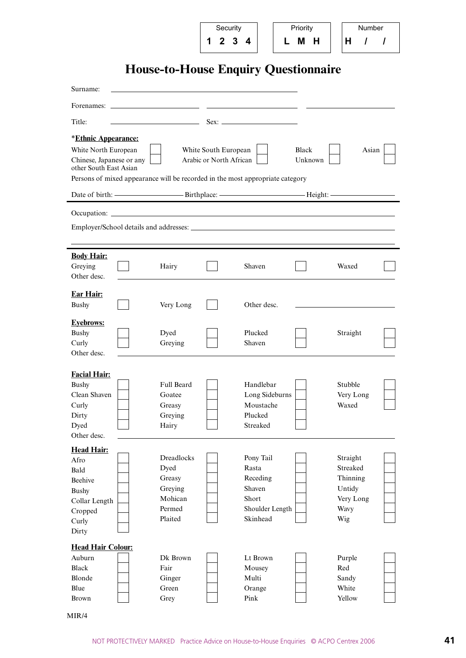| Security | Priority | Number |
|----------|----------|--------|
|          | н<br>м   |        |

### **House-to-House Enquiry Questionnaire**

<span id="page-43-1"></span><span id="page-43-0"></span>

| Surname:                                                                                                                                                    |                                                                         |                                                 |                                                                                  |                         |                                                                        |  |
|-------------------------------------------------------------------------------------------------------------------------------------------------------------|-------------------------------------------------------------------------|-------------------------------------------------|----------------------------------------------------------------------------------|-------------------------|------------------------------------------------------------------------|--|
|                                                                                                                                                             |                                                                         |                                                 |                                                                                  |                         |                                                                        |  |
| Title:                                                                                                                                                      | <u> 1989 - Johann Stein, mars an t-Amerikaansk ferskeider (</u>         |                                                 |                                                                                  |                         |                                                                        |  |
| <i>*Ethnic Appearance:</i>                                                                                                                                  |                                                                         |                                                 |                                                                                  |                         |                                                                        |  |
| White North European<br>Chinese, Japanese or any<br>other South East Asian<br>Persons of mixed appearance will be recorded in the most appropriate category |                                                                         | White South European<br>Arabic or North African |                                                                                  | <b>Black</b><br>Unknown | Asian                                                                  |  |
| Date of birth: ________________________Birthplace: _____________________________Height: ______________________                                              |                                                                         |                                                 |                                                                                  |                         |                                                                        |  |
|                                                                                                                                                             |                                                                         |                                                 |                                                                                  |                         |                                                                        |  |
| <b>Body Hair:</b><br>Greying<br>Other desc.                                                                                                                 | Hairy                                                                   |                                                 | Shaven                                                                           |                         | Waxed                                                                  |  |
| <b>Ear Hair:</b><br><b>Bushy</b>                                                                                                                            | Very Long                                                               |                                                 | Other desc.                                                                      |                         |                                                                        |  |
| <b>Evebrows:</b><br><b>Bushy</b><br>Curly<br>Other desc.                                                                                                    | Dyed<br>Greying                                                         |                                                 | Plucked<br>Shaven                                                                |                         | Straight                                                               |  |
| <b>Facial Hair:</b><br><b>Bushy</b><br>Clean Shaven<br>Curly<br>Dirty<br>Dyed<br>Other desc.                                                                | Full Beard<br>Goatee<br>Greasy<br>Greying<br>Hairy                      |                                                 | Handlebar<br>Long Sideburns<br>Moustache<br>Plucked<br>Streaked                  |                         | <b>Stubble</b><br>Very Long<br>Waxed                                   |  |
| <b>Head Hair:</b><br>Afro<br>Bald<br>Beehive<br><b>Bushy</b><br>Collar Length<br>Cropped<br>Curly<br>Dirty                                                  | Dreadlocks<br>Dyed<br>Greasy<br>Greying<br>Mohican<br>Permed<br>Plaited |                                                 | Pony Tail<br>Rasta<br>Receding<br>Shaven<br>Short<br>Shoulder Length<br>Skinhead |                         | Straight<br>Streaked<br>Thinning<br>Untidy<br>Very Long<br>Wavy<br>Wig |  |
| <b>Head Hair Colour:</b><br>Auburn<br><b>Black</b><br>Blonde<br>Blue<br><b>Brown</b>                                                                        | Dk Brown<br>Fair<br>Ginger<br>Green<br>Grey                             |                                                 | Lt Brown<br>Mousey<br>Multi<br>Orange<br>Pink                                    |                         | Purple<br>Red<br>Sandy<br>White<br>Yellow                              |  |

MIR/4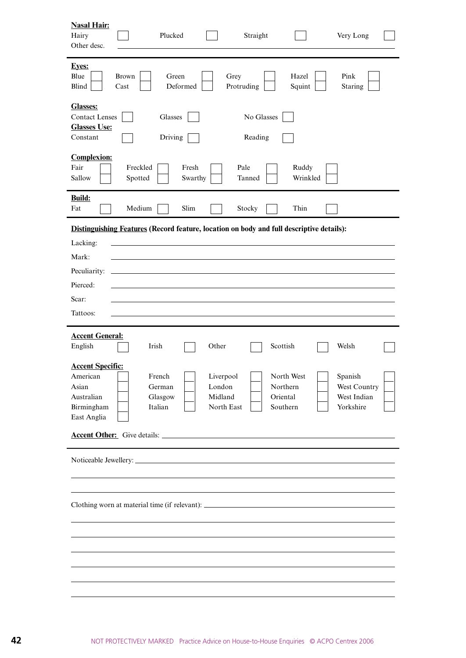| <b>Nasal Hair:</b><br>Hairy<br>Other desc.                                              | Plucked                                                                                  | Straight                                                                                                                                                                                                                      |                                    | Very Long                                           |
|-----------------------------------------------------------------------------------------|------------------------------------------------------------------------------------------|-------------------------------------------------------------------------------------------------------------------------------------------------------------------------------------------------------------------------------|------------------------------------|-----------------------------------------------------|
| <b>Eyes:</b><br>Blue<br><b>Brown</b><br>Blind<br>Cast                                   | Green<br>Deformed                                                                        | Grey<br>Protruding                                                                                                                                                                                                            | Hazel<br>Squint                    | Pink<br>Staring                                     |
| <b>Glasses:</b><br><b>Contact Lenses</b><br><b>Glasses Use:</b><br>Constant             | Glasses<br>Driving                                                                       | No Glasses<br>Reading                                                                                                                                                                                                         |                                    |                                                     |
| <b>Complexion:</b><br>Fair<br>Sallow                                                    | Freckled<br>Fresh<br>Spotted<br>Swarthy                                                  | Pale<br>Tanned                                                                                                                                                                                                                | Ruddy<br>Wrinkled                  |                                                     |
| <b>Build:</b><br>Fat                                                                    | Medium<br>Slim                                                                           | Stocky                                                                                                                                                                                                                        | Thin                               |                                                     |
| Lacking:<br>Mark:<br>Peculiarity:<br>Pierced:<br>Scar:<br>Tattoos:                      | Distinguishing Features (Record feature, location on body and full descriptive details): |                                                                                                                                                                                                                               |                                    |                                                     |
| <b>Accent General:</b><br>English                                                       | Other<br>Irish                                                                           | Scottish                                                                                                                                                                                                                      |                                    | Welsh                                               |
| <b>Accent Specific:</b><br>American<br>Asian<br>Australian<br>Birmingham<br>East Anglia | French<br>Liverpool<br>London<br>German<br>Midland<br>Glasgow<br>North East<br>Italian   | Oriental                                                                                                                                                                                                                      | North West<br>Northern<br>Southern | Spanish<br>West Country<br>West Indian<br>Yorkshire |
|                                                                                         |                                                                                          |                                                                                                                                                                                                                               |                                    |                                                     |
|                                                                                         |                                                                                          |                                                                                                                                                                                                                               |                                    |                                                     |
|                                                                                         | Clothing worn at material time (if relevant): ___________________________________        | the control of the control of the control of the control of the control of the control of the control of the control of the control of the control of the control of the control of the control of the control of the control |                                    |                                                     |
|                                                                                         |                                                                                          |                                                                                                                                                                                                                               |                                    |                                                     |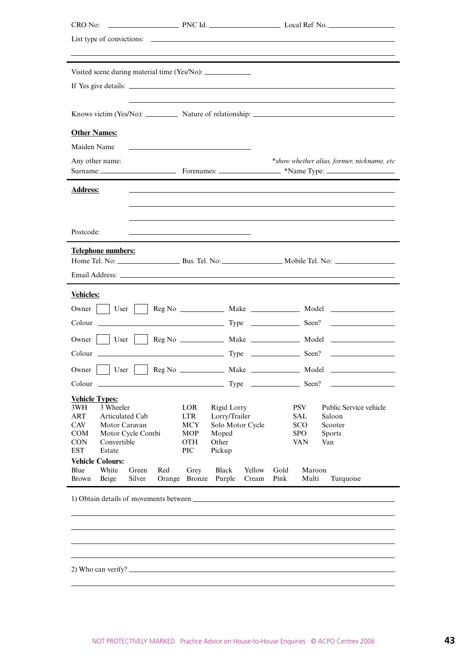|                                                                                  |                                                                                                                       | <u> 1989 - Johann Stoff, amerikansk politiker (d. 1989)</u>                                   |
|----------------------------------------------------------------------------------|-----------------------------------------------------------------------------------------------------------------------|-----------------------------------------------------------------------------------------------|
|                                                                                  |                                                                                                                       |                                                                                               |
| Visited scene during material time (Yes/No): ___________________________________ |                                                                                                                       |                                                                                               |
|                                                                                  |                                                                                                                       |                                                                                               |
|                                                                                  |                                                                                                                       | <u> 1989 - Johann Stoff, amerikansk politiker (* 1908)</u>                                    |
|                                                                                  |                                                                                                                       | Knows victim (Yes/No): Nature of relationship: __________________________________             |
| <b>Other Names:</b>                                                              |                                                                                                                       |                                                                                               |
|                                                                                  |                                                                                                                       |                                                                                               |
| Maiden Name                                                                      | <u> 1989 - Johann Harry Harry Harry Harry Harry Harry Harry Harry Harry Harry Harry Harry Harry Harry Harry Harry</u> |                                                                                               |
| Any other name:                                                                  |                                                                                                                       | *show whether alias, former, nickname, etc<br>Surname: Forenames: Forenames: Name Type: 2008. |
|                                                                                  |                                                                                                                       |                                                                                               |
| <b>Address:</b>                                                                  |                                                                                                                       |                                                                                               |
|                                                                                  |                                                                                                                       |                                                                                               |
|                                                                                  |                                                                                                                       |                                                                                               |
| Postcode:                                                                        |                                                                                                                       |                                                                                               |
|                                                                                  |                                                                                                                       |                                                                                               |
| <b>Telephone numbers:</b>                                                        |                                                                                                                       |                                                                                               |
|                                                                                  |                                                                                                                       |                                                                                               |
|                                                                                  |                                                                                                                       |                                                                                               |
| <b>Vehicles:</b>                                                                 |                                                                                                                       |                                                                                               |
| User<br>$Owner$                                                                  |                                                                                                                       |                                                                                               |
|                                                                                  |                                                                                                                       |                                                                                               |
|                                                                                  |                                                                                                                       |                                                                                               |
| Owner  <br>User                                                                  |                                                                                                                       |                                                                                               |
|                                                                                  |                                                                                                                       |                                                                                               |
|                                                                                  |                                                                                                                       |                                                                                               |
| $Type$ $\frac{1}{\sqrt{1-\frac{1}{2}}}\$<br>Colour                               |                                                                                                                       | Seen?                                                                                         |
| <b>Vehicle Types:</b>                                                            |                                                                                                                       |                                                                                               |
| 3WH<br>3 Wheeler                                                                 | LOR<br>Rigid Lorry                                                                                                    | <b>PSV</b><br>Public Service vehicle                                                          |
| ART<br>Articulated Cab                                                           | Lorry/Trailer<br><b>LTR</b>                                                                                           | SAL<br>Saloon                                                                                 |
| <b>CAV</b><br>Motor Caravan<br>COM<br>Motor Cycle Combi                          | Solo Motor Cycle<br><b>MCY</b><br><b>MOP</b><br>Moped                                                                 | <b>SCO</b><br>Scooter<br><b>SPO</b><br><b>Sports</b>                                          |
| <b>CON</b><br>Convertible                                                        | <b>OTH</b><br>Other                                                                                                   | <b>VAN</b><br>Van                                                                             |
| <b>EST</b><br>Estate                                                             | <b>PIC</b><br>Pickup                                                                                                  |                                                                                               |
| <b>Vehicle Colours:</b>                                                          |                                                                                                                       |                                                                                               |
| Blue<br>White<br>Green<br>Red<br><b>Brown</b><br>Beige<br>Silver<br>Orange       | Black<br>Yellow<br>Grey<br>Bronze<br>Purple<br>Cream                                                                  | Gold<br>Maroon<br>Pink<br>Multi<br>Turquoise                                                  |
|                                                                                  |                                                                                                                       |                                                                                               |
|                                                                                  |                                                                                                                       |                                                                                               |
|                                                                                  |                                                                                                                       |                                                                                               |
|                                                                                  |                                                                                                                       |                                                                                               |
|                                                                                  |                                                                                                                       |                                                                                               |
|                                                                                  |                                                                                                                       |                                                                                               |
|                                                                                  |                                                                                                                       |                                                                                               |
|                                                                                  |                                                                                                                       |                                                                                               |
|                                                                                  |                                                                                                                       |                                                                                               |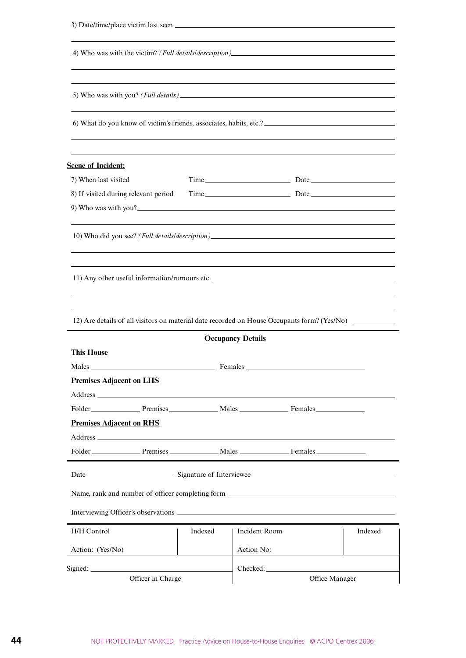| 4) Who was with the victim? (Full details/description)                                      |         |                          |                |         |
|---------------------------------------------------------------------------------------------|---------|--------------------------|----------------|---------|
|                                                                                             |         |                          |                |         |
|                                                                                             |         |                          |                |         |
| <b>Scene of Incident:</b>                                                                   |         |                          |                |         |
| 7) When last visited                                                                        |         |                          |                |         |
| 8) If visited during relevant period<br>9) Who was with you?                                |         |                          |                |         |
| 10) Who did you see? (Full details/description)__________________________________           |         |                          |                |         |
| 12) Are details of all visitors on material date recorded on House Occupants form? (Yes/No) |         |                          |                |         |
|                                                                                             |         | <b>Occupancy Details</b> |                |         |
| <b>This House</b>                                                                           |         |                          |                |         |
| Males <sub>-</sub>                                                                          |         | Females.                 |                |         |
| <b>Premises Adjacent on LHS</b>                                                             |         |                          |                |         |
|                                                                                             |         |                          |                |         |
| Folder Females Premises Premises Nales Females                                              |         |                          |                |         |
| <b>Premises Adjacent on RHS</b>                                                             |         |                          |                |         |
|                                                                                             |         |                          |                |         |
|                                                                                             |         |                          |                |         |
|                                                                                             |         |                          |                |         |
| Name, rank and number of officer completing form ________________________________           |         |                          |                |         |
|                                                                                             |         |                          |                |         |
| H/H Control                                                                                 | Indexed | Incident Room            |                | Indexed |
| Action: (Yes/No)                                                                            |         | Action No:               |                |         |
| Signed: $\frac{1}{2}$ Signed:                                                               |         |                          |                |         |
| Officer in Charge                                                                           |         |                          | Office Manager |         |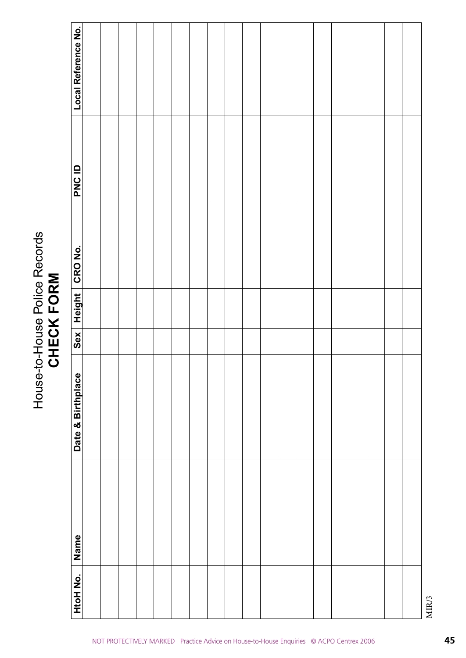# House-to-House Police Records<br>CHECK FORM House-to-House Police Records **CHECK FORM**

<span id="page-47-0"></span>

| <b>HtoH No.</b> | Name | Date & Birthplace | Sex | <b>Height</b> | CRO No. | <b>GI ONG</b> | Local Reference No. |
|-----------------|------|-------------------|-----|---------------|---------|---------------|---------------------|
|                 |      |                   |     |               |         |               |                     |
|                 |      |                   |     |               |         |               |                     |
|                 |      |                   |     |               |         |               |                     |
|                 |      |                   |     |               |         |               |                     |
|                 |      |                   |     |               |         |               |                     |
|                 |      |                   |     |               |         |               |                     |
|                 |      |                   |     |               |         |               |                     |
|                 |      |                   |     |               |         |               |                     |
|                 |      |                   |     |               |         |               |                     |
|                 |      |                   |     |               |         |               |                     |
|                 |      |                   |     |               |         |               |                     |
|                 |      |                   |     |               |         |               |                     |
|                 |      |                   |     |               |         |               |                     |
|                 |      |                   |     |               |         |               |                     |
|                 |      |                   |     |               |         |               |                     |
|                 |      |                   |     |               |         |               |                     |
|                 |      |                   |     |               |         |               |                     |
|                 |      |                   |     |               |         |               |                     |
|                 |      |                   |     |               |         |               |                     |
| MIR/3           |      |                   |     |               |         |               |                     |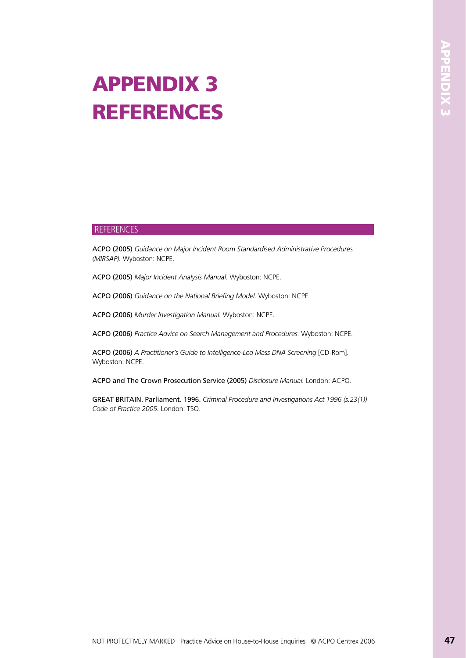# <span id="page-49-0"></span>**APPENDIX 3 REFERENCES**

#### REFERENCES

ACPO (2005) *Guidance on Major Incident Room Standardised Administrative Procedures (MIRSAP).* Wyboston: NCPE.

ACPO (2005) *Major Incident Analysis Manual.* Wyboston: NCPE.

ACPO (2006) *Guidance on the National Briefing Model.* Wyboston: NCPE.

ACPO (2006) *Murder Investigation Manual.* Wyboston: NCPE.

ACPO (2006) *Practice Advice on Search Management and Procedures.* Wyboston: NCPE.

ACPO (2006) *A Practitioner's Guide to Intelligence-Led Mass DNA Screening* [CD-Rom]. Wyboston: NCPE.

ACPO and The Crown Prosecution Service (2005) *Disclosure Manual.* London: ACPO.

GREAT BRITAIN. Parliament. 1996. *Criminal Procedure and Investigations Act 1996 (s.23(1)) Code of Practice 2005.* London: TSO.